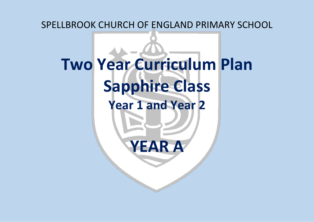SPELLBROOK CHURCH OF ENGLAND PRIMARY SCHOOL

# **Two Year Curriculum Plan Sapphire Class Year 1 and Year 2 YEAR A**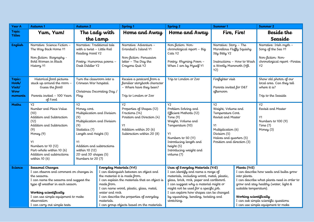| <b>Year A</b>                                      | Autumn 1                                                                                                                                                                                                                                                                | Autumn 2                                                                                                                                                                                                                                   |                                                                                                          | Spring <sub>1</sub>                                                                                                                                                                                                            | Spring <sub>2</sub>                                                                                                                                                                                                                                                                                                                                 | Summer 1                                                                                                                                                                 |                                                                                  | <b>Summer 2</b>                                                                                                                                                                                                |
|----------------------------------------------------|-------------------------------------------------------------------------------------------------------------------------------------------------------------------------------------------------------------------------------------------------------------------------|--------------------------------------------------------------------------------------------------------------------------------------------------------------------------------------------------------------------------------------------|----------------------------------------------------------------------------------------------------------|--------------------------------------------------------------------------------------------------------------------------------------------------------------------------------------------------------------------------------|-----------------------------------------------------------------------------------------------------------------------------------------------------------------------------------------------------------------------------------------------------------------------------------------------------------------------------------------------------|--------------------------------------------------------------------------------------------------------------------------------------------------------------------------|----------------------------------------------------------------------------------|----------------------------------------------------------------------------------------------------------------------------------------------------------------------------------------------------------------|
| Topic                                              | Yum, Yum!                                                                                                                                                                                                                                                               | The Lady with                                                                                                                                                                                                                              |                                                                                                          | Home and Away                                                                                                                                                                                                                  | Home and Away                                                                                                                                                                                                                                                                                                                                       | Fire, Fire!                                                                                                                                                              |                                                                                  | Beside the                                                                                                                                                                                                     |
| <b>Titles</b>                                      |                                                                                                                                                                                                                                                                         | the Lamp                                                                                                                                                                                                                                   |                                                                                                          |                                                                                                                                                                                                                                |                                                                                                                                                                                                                                                                                                                                                     |                                                                                                                                                                          |                                                                                  | Seaside                                                                                                                                                                                                        |
| <b>English</b>                                     | Narrative: Science Fiction -<br>The Way Back Home Y1<br>Non-fiction: Biography -<br>Bold Women in Black<br>History <sub>Y1</sub>                                                                                                                                        | Narrative: Traditional tale<br>with a twist - Little Red<br>Reading Hood Y2<br>Poetry: Humorous poems -<br>Desk Diddler Y2                                                                                                                 |                                                                                                          | Narrative: Adventure -<br>Grandad's Island Y1<br>Non-fiction: Persuasive<br>letter - The Day the<br>Crayons Quit Y2                                                                                                            | Non-fiction: Non-<br>chronological report - Big<br>Cats <sub>Y2</sub><br>Poetry: Rhyming Poem -<br>When I am by Myself Y1                                                                                                                                                                                                                           | Narrative: Story - The<br>Marvellous Fluggy Squishy<br>Itty Bitty Y2<br>Instructions - How to Wash<br>a Woolly Mammoth (HLL<br>Y2)                                       |                                                                                  | Narrative: Irish myth -<br>Song of the Sea Y1<br>Non-fiction: Non-<br>chronological report - Pirates<br>Y2                                                                                                     |
| Topic:<br>Hook/<br>Visit/<br><b>Wow</b><br>moments | Historical food pictures<br>stuck up around the room -<br>Guess the food!<br>Parents invited - 100 Years<br>of Food                                                                                                                                                     | Turn the classroom into a<br>Crimean War hospital.<br>Christmas Decorating Day /<br>Play                                                                                                                                                   |                                                                                                          | Receive a postcard from a<br>familiar storybook character<br>- Where have they been?<br>Trip to London or Zoo                                                                                                                  | Trip to London or Ζοσ                                                                                                                                                                                                                                                                                                                               | Firefighter visit<br>Parents invited for D&T<br>afternoon                                                                                                                |                                                                                  | Show old photos of our<br>local area. Can they tell<br>where it is?<br>Trip to the Seaside                                                                                                                     |
| <b>Maths</b>                                       | <b>Y2</b><br>Number and Place Value<br>(10)<br>Addition and Subtraction<br>(12)<br>Addition and Subtraction<br>(9)<br>Money (9)<br>Y1<br>Numbers to 10 (12)<br>Part-whole within 10 (6)<br>Addition and subtractions<br>within $10(6)$                                  | Y2<br>Money cont.<br>Multiplication and Division<br>(9)<br>Multiplication and Division<br>(9)<br>Statistics (7)<br>Length and Height (5)<br>Y1<br>Addition and subtractions<br>within 10 (12)<br>2D and 3D shapes (5)<br>Numbers to 20 (7) |                                                                                                          | Y2<br>Properties of Shapes (12)<br>Fractions (14)<br>Position and Direction (4)<br>Y1<br>Addition within 20 (6)<br>Subtraction within 20 (8)                                                                                   | Y <sub>2</sub><br>Problem Solving and<br>Efficient Methods (12)<br>Time $(9)$<br>Weight, Volume and<br>Temperature (10)<br>Y1<br>Numbers to 50 (11)<br>Introducing length and<br>height (5)<br>Introducing weight and<br>volume (7)                                                                                                                 | Y2<br>Weight, Volume and<br>Temperature Cont.<br>Revisit and Master<br>Y1<br>Multiplication (6)<br>Division (5)<br>Halves and quarters (5)<br>Position and direction (3) |                                                                                  | Y2<br>Revisit and Master<br>Y1<br>Numbers to 100 (9)<br>Time $(7)$<br>Money $(3)$                                                                                                                              |
| <b>Science</b>                                     | Seasonal Changes<br>I can observe and comment on changes in<br>the seasons.<br>I can name the seasons and suggest the<br>type of weather in each season.<br>Working scientifically<br>I can use simple equipment to make<br>observation<br>I can carry out simple tests |                                                                                                                                                                                                                                            | Everyday Materials (Yr1)<br>the material it is made from.<br>made from.<br>water and rock.<br>materials. | I can distinguish between an object and<br>I can explain the materials that an object is<br>I can name wood, plastic, glass, metal,<br>I can describe the properties of everyday<br>I can group objects based on the materials | Uses of Everyday Materials (Yr2)<br>I can identify and name a range of<br>materials, including wood, metal, plastic,<br>glass, brick, rock, paper and cardboard.<br>I can suggest why a material might or<br>might not be used for a specific job.<br>I can explore how shapes can be changed<br>by squashing, bending, twisting and<br>stretching. |                                                                                                                                                                          | Plants (Yr2)<br>into plants.<br>suitable temperature).<br>Working scientifically | I can describe how seeds and bulbs grow<br>I can describe what plants need in order to<br>grow and stay healthy (water, light &<br>I can ask simple scientific questions<br>I can use simple equipment to make |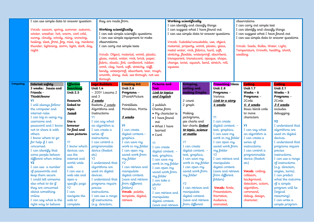|           | I can use simple data to answer question        |                  | they are made from.          |                                            |                       |                                         | Working scientifically                      |                         | observations                              |                       |  |
|-----------|-------------------------------------------------|------------------|------------------------------|--------------------------------------------|-----------------------|-----------------------------------------|---------------------------------------------|-------------------------|-------------------------------------------|-----------------------|--|
|           |                                                 |                  |                              |                                            |                       |                                         | I can identify and classify things          |                         | I can carry out simple test               |                       |  |
|           | Vocab: season, spring, summer, autumn,          |                  | Working scientifically       |                                            |                       |                                         | I can suggest what I have found out         |                         | I can identify and classify things        |                       |  |
|           | winter, weather, hot, warm, cool cold,          |                  |                              | I can ask simple scientific questions      |                       |                                         | I can use simple data to answer questions   |                         | I can suggest what I have found out       |                       |  |
|           | sunny, cloudy, windy, rainy, snowing,           |                  |                              | I can use simple equipment to make         |                       |                                         |                                             |                         | I can use simple data to answer questions |                       |  |
|           | hailing, sleet, frost, fog, mist, icy, rainbow, |                  | observations                 |                                            |                       |                                         | Vocab: Suitable/unsuitable, use, object,    |                         |                                           |                       |  |
|           | thunder, lightning, storm, light, dark, day,    |                  | I can carry out simple tests |                                            |                       |                                         | material, property, wood, plastic, glass,   |                         | Vocab: Seeds, Bulbs, Water, Light,        |                       |  |
|           | night                                           |                  |                              |                                            |                       | metal water, rock, fabrics, hard, soft, |                                             |                         | Temperature, Growth, healthy, shoot,      |                       |  |
|           |                                                 |                  |                              | Vocab: Object, material, wood, plastic,    |                       |                                         | stretchy, flexible, waterproof, absorbent,  |                         | seedling.                                 |                       |  |
|           |                                                 |                  |                              | glass, metal, water, rock, brick, paper,   |                       |                                         | transparent, translucent, opaque, shape,    |                         |                                           |                       |  |
|           |                                                 |                  |                              | fabric, elastic, foil, cardboard, rubber,  |                       |                                         | change, twist, squash, bend, stretch, roll, |                         |                                           |                       |  |
|           |                                                 |                  |                              | wool, clay, hard, soft, stretchy, stiff,   |                       | squeeze                                 |                                             |                         |                                           |                       |  |
|           |                                                 |                  |                              | bendy, waterproof, absorbent, tear, rough, |                       |                                         |                                             |                         |                                           |                       |  |
|           |                                                 |                  |                              | smooth, shiny, dull, see through, not see  |                       |                                         |                                             |                         |                                           |                       |  |
|           |                                                 |                  | through                      |                                            |                       |                                         |                                             |                         |                                           |                       |  |
| Computing | Internet safety                                 | Effective        | <b>Lego Builders</b>         | <b>Creating Art</b>                        | Pictures and          |                                         | Grouping,                                   | <b>Presenting</b> Ideas | Coding                                    | Coding                |  |
|           | 3 weeks: Jessie and                             | <b>Searching</b> | Unit $1.4$                   | <b>Unit 2.6</b>                            | Text                  |                                         | sorting and                                 | Unit $2.8$              | Unit $1.7$                                | Unit $2.1$            |  |
|           | Friends -                                       | <b>Unit 2.5</b>  | - 2DIY Lessons 2             | Programs -                                 | Link to topics        |                                         | making Graphs                               | Programs -              | Weeks $-6$                                | Weeks $-5$            |  |
|           | ThinkUknow                                      |                  | and 3                        | 2PaintAPicture                             | and English           |                                         |                                             | Various                 | Programs -                                | Programs -            |  |
|           | Y1                                              | Research         | 2 weeks                      |                                            |                       |                                         | 2 count                                     | Link to a story         | 2Code                                     | 2Code                 |  |
|           | I will always follow                            | linked to        | Beebots 2 weeks              | Pointillists                               | 2 publish             |                                         | 2 graph                                     | 4 weeks                 | 4-6 weeks<br>Basic block code             | 3-5 weeks<br>includes |  |
|           | the computer and                                | topic            | Algorithms and               | Mondrian, Morris                           | Choose from           |                                         |                                             |                         |                                           |                       |  |
|           | internet rules                                  | <b>1week</b>     | Instructions<br>Y1           |                                            | • My character is     |                                         | Making                                      | Y1                      | to move                                   | debugging             |  |
|           | I can log in using my<br>username and           | Use a            | I can say what               | 5 weeks                                    | · I have found        |                                         | pictograms,<br>pie charts and               | I can create            | characters                                | <b>Y2</b>             |  |
|           | password and I know                             | <b>browser</b>   | an algorithm is              | Y1                                         | out                   |                                         | bar charts <i>linked</i>                    | digital content. -      | <b>Y1</b>                                 | I understand that     |  |
|           | not to share it with                            | To find and      | I can create a               | I can create                               | $\bullet$ What I have |                                         | to topic, science                           | text, graphics,         | I can say what                            | algorithms are        |  |
|           | others                                          | save pictures    | series of                    | digital content.-                          | learned               |                                         | <u>or maths</u>                             | I can save my           | an algorithm is                           | used on digital       |  |
|           | I know where to go                              |                  | instructions.                | graphics                                   | $\bullet$ Card        |                                         |                                             | work in my folder       | I can create a                            | devices.              |  |
|           | for help if I am                                | Y1               | I can control a              | I can save my                              | Y1                    |                                         | Y1                                          | I can open my           | series of                                 | I understand that     |  |
|           | concerned.                                      | I know which     | programmable                 | work in my folder                          | I can create          |                                         | I can create                                | saved work from         | instructions.                             | programs require      |  |
|           | I can identify that                             | devices can      | device (Beebot               | I can open my                              | digital content. -    |                                         | digital content. -                          | my folder               | I can control a                           | precise               |  |
|           | some people behave                              | use the          | etc)                         | saved work from                            | text, graphics,       |                                         | text, graphics,                             | <b>Y2</b>               | programmable                              | instructions.         |  |
|           | different when online                           | internet and     | Y2                           | my folder                                  | I can save my         |                                         | I can save my                               | I can retrieve and      | device (Beebot                            | I can use a range     |  |
|           | Y <sub>2</sub>                                  | world wide       | I understand that            | Y2                                         | work in my folder     |                                         | work in my folder                           | manipulate              | etc)                                      | of instructions       |  |
|           | I can use a number                              | web              | algorithms are               | I can retrieve and                         | I can open my         |                                         | I can open my                               | digital content.        |                                           | (e.g. direction,      |  |
|           | of passwords and                                | I can use a      | used on digital              | manipulate                                 | saved work from       |                                         | saved work from                             | (save and retrieve      | Vocab: coding,                            | angles, turns).       |  |
|           | keep them secure                                | web site and     | devices.                     | digital content.                           | my folder             |                                         | my folder                                   | from different          | collision,                                | I can predict         |  |
|           | I could tell someone                            | open a           | I understand that            | (save and retrieve                         | I can take a          |                                         |                                             | folders)                | background,                               | what the outcome      |  |
|           | else what to do if                              | specific page    | programs require             | from different                             | photo                 |                                         | Y2                                          |                         | detection, action,                        | of a simple           |  |
|           | they are concerned                              | $\overline{Y2}$  | precise                      | folders)                                   | Y2                    |                                         | I can retrieve and                          | Vocab: Node,            | algorithm,                                | program will be       |  |
|           | about something                                 | I can            | instructions.                | Vocab: palette,                            | I can retrieve and    |                                         | manipulate                                  | Presentation,           | command,                                  | (logical              |  |
|           | online                                          | navigate the     | I can use a range            | template, digital,                         | manipulate            |                                         | digital content.                            | Narrative,              | debug, design,                            | reasoning).           |  |
|           | I can say what is the                           | web to           | of instructions              | retrieve                                   | digital content.      |                                         | (save and retrieve                          | Audience,               | character,                                | I can write a         |  |
|           | right way to behave                             | complete         | (e.g. direction,             |                                            | (save and retrieve    |                                         | from different                              | animated,               |                                           | simple program        |  |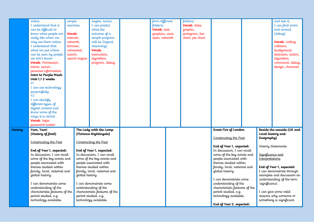|     | online<br>I understand that it<br>can be difficult to<br>know what people are<br>really like when we<br>only see them online<br>I understand that<br>what we put online<br>can be seen by people<br>we don't know<br>Vocab: Permission,<br>intent, secure,<br>personal information<br>Intro to Purple Mash<br>Unit 1,1 2 weeks<br>Y1<br>I can use technology<br>purposefully<br>Y2<br>I can identify<br>different types of<br>digital content and<br>know some of the<br>ways it is stored<br>Vocab: login | simple<br>searches.<br>Vocab:<br>internet,<br>network,<br>browser,<br>connected,<br>search,<br>search engine | angles, turns).<br>I can predict<br>what the<br>outcome of a<br>simple program<br>will be (logical<br>reasoning).<br>Vocab:<br>instruction,<br>algorithm,<br>program, debug                                                                                                                                                                                                               | from different<br>folders)<br>Vocab: text,<br>graphics, save,<br>open, network | folders)<br>Vocab: data,<br>graphic,<br>pictogram, bar<br>chart, pie chart |                                                                                                                                                                                                                                                                                                                                                                                                              |                                                                             | and test it.<br>I can find errors<br>and amend.<br>(debug)<br>Vocab: coding,<br>collision,<br>background,<br>detection, action,<br>algorithm,<br>command, debug,<br>design, character                                                                                     |
|-----|------------------------------------------------------------------------------------------------------------------------------------------------------------------------------------------------------------------------------------------------------------------------------------------------------------------------------------------------------------------------------------------------------------------------------------------------------------------------------------------------------------|--------------------------------------------------------------------------------------------------------------|-------------------------------------------------------------------------------------------------------------------------------------------------------------------------------------------------------------------------------------------------------------------------------------------------------------------------------------------------------------------------------------------|--------------------------------------------------------------------------------|----------------------------------------------------------------------------|--------------------------------------------------------------------------------------------------------------------------------------------------------------------------------------------------------------------------------------------------------------------------------------------------------------------------------------------------------------------------------------------------------------|-----------------------------------------------------------------------------|---------------------------------------------------------------------------------------------------------------------------------------------------------------------------------------------------------------------------------------------------------------------------|
| ory | password avatar<br>Yum, Yum!<br>(History of food)<br>Constructing the Past<br>End of Year 1, expected:<br>In discussion, I can recall<br>some of the key events and<br>people associated with<br>themes studied within<br>family, local, national and<br>global history.<br>I can demonstrate some<br>understanding of the<br>characteristic features of the<br>period studied, e.g.<br>technology available.                                                                                              | global history.                                                                                              | The Lady with the Lamp<br>(Florence Nightingale)<br>Constructing the Past<br>End of Year 1, expected:<br>In discussion, I can recall<br>some of the key events and<br>people associated with<br>themes studied within<br>family, local, national and<br>I can demonstrate some<br>understanding of the<br>characteristic features of the<br>period studied, e.g.<br>technology available. |                                                                                |                                                                            | Great Fire of London<br>Constructing the Past<br>End of Year 1, expected:<br>In discussion, I can recall<br>some of the key events and<br>people associated with<br>themes studied within<br>family, local, national and<br>global history.<br>I can demonstrate some<br>understanding of the<br>characteristic features of the<br>period studied, e.g.<br>technology available.<br>End of Year 2, expected: | Geography)<br>Significance and<br><b>Interpretations</b><br>'significance'. | Beside the seaside (UK and<br>Local history and<br>History Statements<br>End of Year 1, expected:<br>I can demonstrate through<br>examples and discussion an<br>understanding of the term<br>I can give some valid<br>reasons why someone or<br>something is significant. |

**History Yum, Yum!**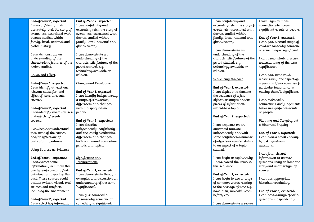### **End of Year 2, expected:** I can confidently and accurately retell the story of events, etc. associated with themes studied within family, local, national and global history. I can demonstrate an understanding of the characteristic features of the period studied. Cause and Effect **End of Year 1, expected:** I can identify at least one relevant cause for, and effect of, several events covered. **End of Year 2, expected:** I can confidently and accurately retell the story of events, etc. associated with themes studied within family, local, national and global history. I can demonstrate an understanding of the characteristic features of the period studied, e.g. technology available or religion. Change and Development **End of Year 1, expected:** I can identify independently I can confidently and accurately retell the story of events, etc. associated with themes studied within family, local, national and global history. I can demonstrate an understanding of the characteristic features of the period studied, e.g. technology available or religion. Sequencing the past **End of Year 1, expected :** I can depict on a timeline the sequence of a few objects or images and/or I will begin to make connections between significant events or people. **End of Year 2, expected:** I can give a broad range of valid reasons why someone or something is significant. I can demonstrate a secure understanding of the term significance. I can give some valid reasons why one aspect of a person's life or event is of particular importance in making them/it significant.

I can make valid connections and judgements between significant events or people.

pieces of information related to a topic.

**End of Year 2, expected:**

I can begin to explain why I have placed the items in

**End of Year 1, expected:** I can begin to use a range of common words relating to the passage of time e.g. now, then, new old, when,

I can demonstrate a secure

I can sequence on an annotated timeline independently and with some confidence a number of objects or events related to an aspect of a topic

studied.

this sequence.

before, etc.

Planning and Carruing out a Historical Enquiry

**End of Year 1, expected:** I can plan a small enquiry by asking relevant questions.

I can find relevant information to answer questions using at least one story and another type of  $s$ murce.

I can use appropriate historical vocabulary.

**End of Year 2, expected:** I can pose a range of valid questions independently.

a range of similarities, differences and changes within a specific time period.

## **End of Year 2, expected:**

I can describe<br>independently, confidently and accurately similarities, differences and changes both within and across time periods and topics.

Significance and **Interpretations** 

**End of Year 1, expected:** I can demonstrate through examples and discussion an understanding of the term 'significance'.

I can give some valid reasons why someone or something is significant.

that some of the causes and/or effects are of particular importance.

Using Sources as Evidence

I will begin to understand

**End of Year 2, expected:** I can identify several causes and effects of events

covered.

### **End of Year 1, expected:**

I can extract some information from more than one type of source to find out about an aspect of the past. These sources could include written, visual, oral sources and artefacts including the environment.

**End of Year 2, expected:** I can select key information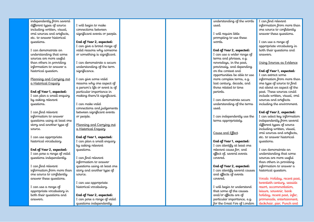independently from several different types of source including written, visual, oral sources and artefacts, etc. to answer historical questions.

I can demonstrate an understanding that some sources are more useful than others in providing information to answer a historical question.

Planning and Carruing out a Historical Enquiry

**End of Year 1, expected:** I can plan a small enquiry by asking relevant questions.

I can find relevant information to answer questions using at least one story and another type of source.

I can use appropriate historical vocabulary.

**End of Year 2, expected:** I can pose a range of valid questions independently.

I can find relevant information from more than one source to confidently answer these questions.

I can use a range of appropriate vocabulary in both their questions and answers.

I will begin to make connections between significant events or people.

**End of Year 2, expected:**

I can give a broad range of valid reasons why someone or something is significant.

I can demonstrate a secure understanding of the term significance.

I can give some valid reasons why one aspect of a person's life or event is of particular importance in making them/it significant.

I can make valid connections and judgements between significant events or people.

Planning and Carruing out a Historical Enquiry

**End of Year 1, expected:** I can plan a small enquiry by asking relevant questions.

I can find relevant information to answer questions using at least one story and another type of source.

I can use appropriate historical vocabulary.

**End of Year 2, expected:** I can pose a range of valid questions independently.

understanding of the words used.

I will require little prompting to use these words.

**End of Year 2, expected:** I can use a wider range of terms and phrases, e.g. nowadays, in the past, previously, and depending on the context and opportunities be able to use more complex terms, e.g. last century, decade, and those related to time. periods.

I can demonstrate secure understanding of the terms used.

I can independently use the terms appropriately.

### Cause and Effect

**End of Year 1, expected:** I can identify at least one relevant cause for, and effect of, several events covered.

**End of Year 2, expected:** I can identify several causes and effects of events covered.

I will begin to understand that some of the causes and/or effects are of particular importance, e.g. for the Great Fire of London I can find relevant information from more than one source to confidently answer these questions.

I can use a range of appropriate vocabulary in both their questions and answers.

Using Sources as Evidence

### **End of Year 1, expected:**

I can extract some information from more than one type of source to find out about an aspect of the past. These sources could include written, visual, oral sources and artefacts including the environment.

**End of Year 2, expected:**

I can select key information independently from several different tupes of source including written, visual, oral sources and artefacts, etc. to answer historical questions.

I can demonstrate an understanding that some sources are more useful than others in providing information to answer a historical question.

Vocab: Holiday, recent past, twentieth century, seaside resort, accommodation, leisure, souvenir, bank holiday, recent past, infer, promenade, entertainment, deckchair, pier, Punch and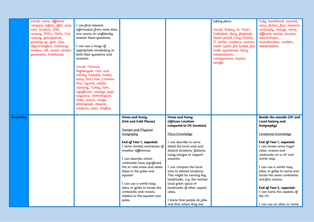|           | Vocab: same, different,<br>compare, before, after, past,<br>now, timeline, 20th<br>century, 1950s, 1960s, 21st<br>century, grandparent,<br>growing up, year, clue,<br>object/artefact, matching,<br>modern, old, recent, similar,<br>generation, traditional, | I can find relevant<br>information from more than<br>one source to confidently<br>answer these questions.<br>I can use a range of<br>appropriate vocabulary in<br>both their questions and<br>answers.<br>Vocab: Florence<br>Nightingale, care, sick,<br>charity, hospital, medal,<br>lamp, Red Cross, Crimean<br>War, injured, solider,<br>cleaning, Turkey, hero,<br>significant, courage, past,<br>sequence, chronological<br>order, source, image,<br>photograph, observe,<br>evidence, clues, artefact |                                                                                                                                        |                                                                                                                           | taking place.<br>Vocab: Bakery, St. Paul's<br>Cathedral, diary, firebreak,<br>Stuart period, King Charles<br>II, earlier, evidence, sources,<br>water squirt, fire bucket, fire<br>hook, eyewitness, diary,<br>interpretation,<br>consequences, impact,<br>benefit. | Judy, bandstand, seawall,<br>value, fiction, fact, research,<br>continuity, change, same,<br>different, tourist, tourism,<br>anachronism,<br>reconstruction, modern,<br>interpretation |
|-----------|---------------------------------------------------------------------------------------------------------------------------------------------------------------------------------------------------------------------------------------------------------------|-------------------------------------------------------------------------------------------------------------------------------------------------------------------------------------------------------------------------------------------------------------------------------------------------------------------------------------------------------------------------------------------------------------------------------------------------------------------------------------------------------------|----------------------------------------------------------------------------------------------------------------------------------------|---------------------------------------------------------------------------------------------------------------------------|---------------------------------------------------------------------------------------------------------------------------------------------------------------------------------------------------------------------------------------------------------------------|----------------------------------------------------------------------------------------------------------------------------------------------------------------------------------------|
| Geography |                                                                                                                                                                                                                                                               |                                                                                                                                                                                                                                                                                                                                                                                                                                                                                                             | Home and Away<br>(Hot and Cold Places)<br>Human and Physical                                                                           | Home and Away<br>(African Location<br>compared to UK location)                                                            |                                                                                                                                                                                                                                                                     | Beside the seaside (UK and<br>Local history and<br>Geography)                                                                                                                          |
|           |                                                                                                                                                                                                                                                               |                                                                                                                                                                                                                                                                                                                                                                                                                                                                                                             | Geography                                                                                                                              | Place Knowledge                                                                                                           |                                                                                                                                                                                                                                                                     | Locational Knowledge                                                                                                                                                                   |
|           |                                                                                                                                                                                                                                                               |                                                                                                                                                                                                                                                                                                                                                                                                                                                                                                             | End of Year 1, expected:<br>I show limited awareness of<br>weather differences.<br>I can describe which<br>continents have significant | I can describe in some<br>detail the local area and<br>distant locations' features<br>using images to support<br>answers. |                                                                                                                                                                                                                                                                     | End of Year 1, expected:<br>I can locate some major<br>cities, oceans and<br>continents on a UK and<br>world map.                                                                      |
|           |                                                                                                                                                                                                                                                               |                                                                                                                                                                                                                                                                                                                                                                                                                                                                                                             | hot or cold areas and relate<br>these to the poles and<br>equator.                                                                     | I can compare the local<br>area to distant locations.<br>This might be naming key<br>landmarks, e.g. the nearest          |                                                                                                                                                                                                                                                                     | I can use a world map,<br>atlas or globe to name and<br>locate the seven continents<br>and five oceans.                                                                                |
|           |                                                                                                                                                                                                                                                               |                                                                                                                                                                                                                                                                                                                                                                                                                                                                                                             | I can use a world map,<br>atlas or globe to locate the<br>continents and oceans<br>relative to the equator and<br>poles.               | local green space or<br>landmarks of other capital<br>cities.<br>I know that people do jobs<br>and that where they live   |                                                                                                                                                                                                                                                                     | End of Year 2, expected:<br>I can name the capitals of<br>the UK.<br>I can use an atlas to name                                                                                        |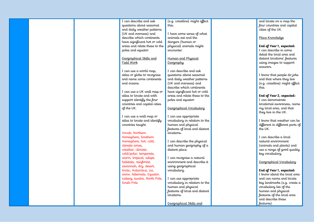|  | I can describe and ask        | (e.g. coastline) might affect | and locate on a map the         |
|--|-------------------------------|-------------------------------|---------------------------------|
|  | questions about seasonal      | this.                         | four countries and capital      |
|  | and daily weather patterns    |                               | cities of the UK.               |
|  | (UK and overseas) and         | I have some sense of what     |                                 |
|  | describe which continents     | animals eat and the           | Place Knowledge                 |
|  | have significant hot or cold  | dangers (human or             |                                 |
|  | areas and relate these to the | physical) animals might       | End of Year 1, expected:        |
|  | poles and equator.            | encounter.                    | I can describe in some          |
|  |                               |                               | detail the local area and       |
|  | Geographical Skills and       | Human and Physical            | distant locations' features     |
|  | Field Work                    | Geography                     | using images to support         |
|  |                               |                               | answers.                        |
|  | I can use a world map,        | I can describe and ask        |                                 |
|  | atlas or globe to recognise   | questions about seasonal      | I know that people do jobs      |
|  |                               |                               |                                 |
|  | and name some continents      | and daily weather patterns    | and that where they live        |
|  | and oceans.                   | (UK and overseas) and         | (e.g. coastline) might affect   |
|  |                               | describe which continents     | this.                           |
|  | I can use a UK wall map or    | have significant hot or cold  |                                 |
|  | atlas to locate and with      | areas and relate these to the | End of Year 2, expected:        |
|  | support identify the four     | poles and equator.            | I can demonstrate               |
|  | countries and capital cities  |                               | locational awareness, name      |
|  | of the UK.                    | Geographical Vocabulary       | my local area, and that         |
|  |                               |                               | they live in the UK.            |
|  | I can use a wall map or       | I can use appropriate         |                                 |
|  | atlas to locate and identify  | vocabulary in relation to the | I know that weather can be      |
|  | countries taught              | human and physical            | different in different parts of |
|  |                               | features of local and distant | the UK.                         |
|  | Vocab: Northern               | locations.                    |                                 |
|  | Hemisphere, Southern          |                               | I can describe a local          |
|  | Hemisphere, hot, cold,        | I can describe the physical   | natural environment             |
|  | climate zones,                | and human geography of a      | (animals and plants) and        |
|  | weather, climate:             |                               |                                 |
|  |                               | distant place.                | use a range of good quality     |
|  | cold/polar, temperate,        |                               | key vocabulary.                 |
|  | warm, tropical, adapt,        | I can recognise a natural     |                                 |
|  | habitats, rainforest,         | environment and describe it   | Geographical Vocabulary         |
|  | savannah, dry, desert,        | using geographical            |                                 |
|  | Arctic, Antarctica, ice,      | vocabulary.                   | End of Year 1, expected:        |
|  | snow, hibernate, Equator,     |                               | I know about the local area     |
|  | iceberg, tundra, North Pole,  | I can use appropriate         | and can name and locate         |
|  | South Pole                    | vocabulary in relation to the | key landmarks (e.g. create a    |
|  |                               | human and physical            | vocabulary list of the          |
|  |                               | features of local and distant | human and physical              |
|  |                               | locations.                    | features of the local area      |
|  |                               |                               | and describe these              |
|  |                               | Geographical Skills and       | features).                      |
|  |                               |                               |                                 |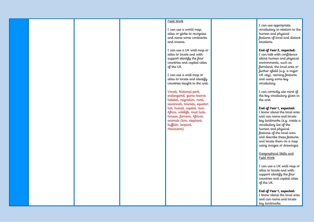### Field Work

I can use a world map, atlas or globe to recognise and name some continents and oceans.

I can use a UK wall map or atlas to locate and with support identify the four countries and capital cities of the UK.

I can use a wall map or atlas to locate and identify countries taught in the unit.

### Vocab: National park,

endangered, game reserve, habitat, migration, rural, savannah, tourists, equator, hot, humid, capital, river, Africa, wildlife, mud huts, houses, farmers, African animals (lion, elephant, buffalo, leopard, rhinoceros)

I can use appropriate vocabulary in relation to the human and physical features of local and distant locations.

### **End of Year 2, expected:**

I can talk with confidence about human and physical environments, such as farmland, the local area or further afield (e.g. a major UK city), naming features and using some key vocabulary.

I can correctly use most of the key vocabulary given in the unit.

### **End of Year 1, expected:**

I know about the local area and can name and locate key landmarks (e.g. create a vocabulary list of the human and physical features of the local area and describe these features and locate them on a map using images or drawings).

### Geographical Skills and Field Work

I can use a UK wall map or atlas to locate and with support identify the four countries and capital cities of the UK.

**End of Year 1, expected:** I know about the local area

and can name and locate key landmarks.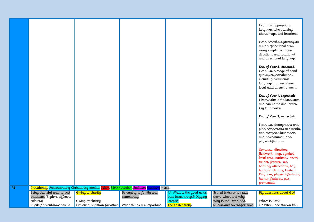|           |                                                                                                        |                                                                                                               |                                                                                              |                                                                                         |                                                                                                     | I can use appropriate<br>language when talking<br>about maps and locations.<br>I can describe a journey on<br>a map of the local area<br>using simple compass<br>directions and locational<br>and directional language. |
|-----------|--------------------------------------------------------------------------------------------------------|---------------------------------------------------------------------------------------------------------------|----------------------------------------------------------------------------------------------|-----------------------------------------------------------------------------------------|-----------------------------------------------------------------------------------------------------|-------------------------------------------------------------------------------------------------------------------------------------------------------------------------------------------------------------------------|
|           |                                                                                                        |                                                                                                               |                                                                                              |                                                                                         |                                                                                                     | End of Year 2, expected:<br>I can use a range of good<br>quality key vocabulary,<br>including directional<br>language, to describe a<br>local natural environment.                                                      |
|           |                                                                                                        |                                                                                                               |                                                                                              |                                                                                         |                                                                                                     | End of Year 1, expected:<br>I know about the local area<br>and can name and locate<br>key landmarks.                                                                                                                    |
|           |                                                                                                        |                                                                                                               |                                                                                              |                                                                                         |                                                                                                     | End of Year 2, expected:<br>I can use photographs and<br>plan perspectives to describe<br>and recognise landmarks<br>and basic human and<br>physical features.                                                          |
|           |                                                                                                        |                                                                                                               |                                                                                              |                                                                                         |                                                                                                     | Compass, direction,<br>fieldwork, map, symbol,<br>local area, national, resort,<br>tourist, feature, sea<br>bathing, attractions, bay,<br>harbour, climate, United<br>Kingdom, physical features,                       |
| <b>RE</b> |                                                                                                        |                                                                                                               | Christianity Understanding Christianity module Islam, Sikh/Hinduism, Judaism, Buddism, Mixed |                                                                                         |                                                                                                     | human features, pier,<br>promenade                                                                                                                                                                                      |
|           | Being thankful and harvest<br>traditions (Explore different<br>cultures)<br>Pupils find out how people | Giving to charity<br>Giving to charity<br>Explore a Christian (or other $\parallel$ What things are important | Belonging to family and<br>community.                                                        | 1.4 What is the good news<br>that Jesus brings? (Digging<br>Deeper)<br>The Easter story | Scared texts: who reads<br>them, when and why<br>Why is the Torah and<br>Qur'an and sacred for Jews | Big questions about God<br>Where is God?<br>1.2 Who made the world?)                                                                                                                                                    |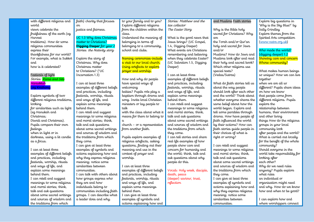| with different religious and        | faith) charity that focuses                          | to your family and to you?                             | Stories: Matthew and the                         | and Muslims Faith stories                              | Explore big questions in             |
|-------------------------------------|------------------------------------------------------|--------------------------------------------------------|--------------------------------------------------|--------------------------------------------------------|--------------------------------------|
| world                               | σn                                                   | Explore different religions                            | tax collector                                    |                                                        | 'Why is the Sky Blue?' by            |
| views celebrate the                 | justice and fairness.                                | from the children within the                           | The Easter Story                                 | Why is the Bible holy                                  | Sally Grindley                       |
| fruitfulness of the earth (eg       |                                                      | class.                                                 |                                                  | sacred for Christians? Why                             | Explore themes from the              |
| Harvest                             | UC 1.3 Why does Christmas                            | Understand the meaning of                              | What is the good news that                       | are                                                    | Spirited Arts competition            |
| traditions). How do some            | matter to Christians?                                | belonging in terms of                                  | Jesus brings? (UC Gospel,                        | the Torah and/or Qur'an                                | (www.natre.org.uk)                   |
| religious communities               | Digging Deeper for year 2                            | belonging to a community,                              | 1.4, Digging Deeper)                             | holy and sacred for Jews                               |                                      |
| express their                       | Stories: the Nativity story                          | school and clubs.                                      | What events are Christians                       | and/or                                                 | Who made the world?                  |
| thankfulness for our world?         |                                                      |                                                        | remembering and believing                        | Muslims? How do Jews and                               | (digging deeper) 1.2                 |
| For example, what is Sukkot         | Explore the story of                                 | Naming ceremonies-include                              | when they celebrate Easter?                      | Muslims look after and read                            | Showing care and concern             |
| and                                 | Christmas. Why does                                  | a visit to our local church.                           | (UC Salvation 1.5, Digging                       | their holy and sacred book?                            | Whose community?                     |
| how is it celebrated?               | Christmas matter                                     | Using artefacts to explore                             | Deeper)                                          | Which other religions use                              |                                      |
|                                     | to Christians? (*UC                                  | prayer and worship.                                    |                                                  | special texts?                                         | What makes human beings              |
| Festivals of light                  | Incarnation 1.3)                                     |                                                        | I can at least three                             | (Vedas/Sutras)                                         | so unique? How we can live           |
| Stories: <mark>Rama and Sita</mark> |                                                      | How and why do people                                  | examples of different beliefs                    |                                                        | together                             |
| Hanukkah                            | I can at least three                                 | have special ways of                                   | and practices, including                         | What do faith stories tell us                          | when we are all so                   |
| Loy Krathong                        | examples of different beliefs                        | welcoming                                              | festivals, worship, rituals                      | about the way people                                   | different? Pupils share ideas        |
|                                     | and practices, including                             | babies? Pupils role play a                             | and ways of life, and                            | should look after each other                           | on how we know                       |
| Explore symbols of two              | festivals, worship, rituals                          | baptism through drama and                              | explain some meanings                            | and the world? Think about                             | that people come from                |
| different religious traditions,     | and ways of life, and                                | song. Invite local Christian                           | behind them.                                     | whether everyone shares the                            | different religions. Pupils          |
| looking                             | explain some meanings                                | ministers or lay people to                             | I can retell and suggest                         | same belief about how the                              | explore the                          |
| for similarities such as light      | behind them.                                         | talk                                                   | meanings to some religious                       | world began. Explore and                               | relationship between                 |
| (eg Hanukah and                     | I can retell and suggest                             | with the class about what it                           | and moral stories; think,                        | tell some parables through                             | humans, their environment            |
| Christmas:                          | meanings to some religious                           | means for them to belong to                            | talk and ask questions                           | drama. How have people of                              | and other living                     |
| Diwali and Christmas).              | and moral stories; think,                            | $\alpha$                                               | about some sacred writings                       | faith influenced the world                             | things How do the religious          |
| Pupils compare their own            | talk and ask questions                               | church - or a representative                           | and sources of wisdom and                        | by their actions? How can                              | groups in your local                 |
| <b>feelings</b>                     | about some sacred writings                           | from another faith.                                    | the traditions from which                        | faith stories guide people in                          | community look                       |
| when in light or in                 | and sources of wisdom and                            |                                                        | they come.                                       | their choices of what is                               | after people and the world?          |
| darkness, using a lit candle        | the traditions from which                            | Pupils explore examples of                             | I can tell stories and share                     | right or wrong?                                        | What is carried out locally          |
| as a focus.                         | they come.                                           | religious artefacts, asking                            | real life examples of how                        |                                                        | for the benefit of the whole         |
| I can at least three                | I can give at least three<br>examples of symbols and | questions, finding out their<br>meaning and use in the | people show care and<br>concern for humanity and | I can retell and suggest<br>meanings to some religious | community?<br>Should everyone in the |
| examples of different beliefs       | actions explaining how and                           | context of prayer and                                  | the world; think, talk and                       | and moral stories; think,                              | world take responsibility for        |
| and practices, including            | why they express religious                           | worship.                                               | ask questions about why                          | talk and ask questions                                 | looking after                        |
| festivals, worship, rituals         | meaning; notice some                                 |                                                        | people do this.                                  | about some sacred writings                             | each other?                          |
| and ways of life, and               | similarities between                                 | I can at least three                                   |                                                  | and sources of wisdom and                              | Why do we need rules                 |
| explain some meanings               | communities.                                         | examples of different beliefs                          | Vocab: Holy week, disciple,                      | the traditions from which                              | anyway? Pupils explore               |
| behind them.                        | I can talk with others about                         | and practices, including                               | death, peace                                     | they come.                                             | what rules                           |
| I can retell and suggest            | how groups express who                               | festivals, worship, rituals                            | (deeper) saviour, trust,                         | I can give at least three                              | an individual or                     |
| meanings to some religious          | they are and how                                     | and ways of life, and                                  | reflection                                       | examples of symbols and                                | organisation might need              |
| and moral stories; think,           | individuals belong to                                | explain some meanings                                  |                                                  | actions explaining how and                             | and why. How do we know              |
| talk and ask questions              | communities including faith                          | behind them.                                           |                                                  | why they express religious                             | how and when to be good?             |
| about some sacred writings          | groups. I can describe what                          | I can give at least three                              |                                                  | meaning; notice some                                   |                                      |
| and sources of wisdom and           | a leader does and why.                               | examples of symbols and                                |                                                  | similarities between                                   | I can explore how and                |
| the traditions from which           |                                                      | actions explaining how and                             |                                                  | communities.                                           | where worshippers connect            |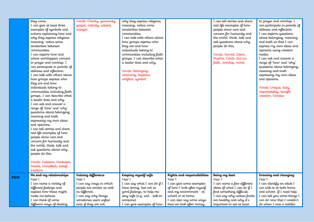|             | they come.<br>I can give at least three<br>examples of symbols and<br>actions explaining how and<br>why they express religious<br>meaning; notice some<br>similarities between<br>communities.<br>I can explore how and<br>where worshippers connect<br>to prayer and worship. I<br>can participate in periods of<br>stillness and reflection.<br>I can talk with others about<br>how groups express who<br>they are and how<br>individuals belong to<br>communities including faith<br>groups. I can describe what<br>a leader does and why.<br>I can ask and answer a<br>range of 'how' and 'why'<br>questions about belonging,<br>meaning and truth<br>expressing my own ideas<br>and opinions.<br>I can tell stories and share<br>real life examples of how<br>people show care and<br>concern for humanity and<br>the world; think, talk and<br>ask questions about why<br>people do this.<br>Vocab: Judaism, Hinduism,<br>Diwali, Hanukkah, belief,<br>tradition | Vocab: Charity, generosity,<br>gospel, nativity, advent,<br>manger                                                                                          | why they express religious<br>meaning; notice some<br>similarities between<br>communities.<br>I can talk with others about<br>how groups express who<br>they are and how<br>individuals belong to<br>communities including faith<br>groups. I can describe what<br>a leader does and why.<br>Vocab: Belonging,<br>ceremony, baptism,<br>artefact, symbol, |                                                                                                                                                                            | I can tell stories and share<br>real life examples of how<br>people show care and<br>concern for humanity and<br>the world; think, talk and<br>ask questions about why<br>people do this.<br>Vocab: Sacred, Islam,<br>Muslim, Torah, Qur'an,<br>faith, worship, moral | to prayer and worship. I<br>can participate in periods of<br>stillness and reflection.<br>I can explore questions<br>about belonging, meaning<br>and truth so that I can<br>express my own ideas and<br>opinions using creative<br>media.<br>I can ask and answer a<br>range of 'how' and 'why'<br>questions about belonging,<br>meaning and truth<br>expressing my own ideas<br>and opinions.<br>Vocab: Unique, duty,<br>responsibility, benefit,<br>creation, Genesis |
|-------------|------------------------------------------------------------------------------------------------------------------------------------------------------------------------------------------------------------------------------------------------------------------------------------------------------------------------------------------------------------------------------------------------------------------------------------------------------------------------------------------------------------------------------------------------------------------------------------------------------------------------------------------------------------------------------------------------------------------------------------------------------------------------------------------------------------------------------------------------------------------------------------------------------------------------------------------------------------------------|-------------------------------------------------------------------------------------------------------------------------------------------------------------|-----------------------------------------------------------------------------------------------------------------------------------------------------------------------------------------------------------------------------------------------------------------------------------------------------------------------------------------------------------|----------------------------------------------------------------------------------------------------------------------------------------------------------------------------|-----------------------------------------------------------------------------------------------------------------------------------------------------------------------------------------------------------------------------------------------------------------------|-------------------------------------------------------------------------------------------------------------------------------------------------------------------------------------------------------------------------------------------------------------------------------------------------------------------------------------------------------------------------------------------------------------------------------------------------------------------------|
|             | Me and my relationships                                                                                                                                                                                                                                                                                                                                                                                                                                                                                                                                                                                                                                                                                                                                                                                                                                                                                                                                                | Valuing difference                                                                                                                                          | Keeping myself safe                                                                                                                                                                                                                                                                                                                                       | Rights and responsibilities                                                                                                                                                | Being my best                                                                                                                                                                                                                                                         | Growing and changing                                                                                                                                                                                                                                                                                                                                                                                                                                                    |
| <b>PSHE</b> | Year 1<br>I can name a variety of<br>different feelings and<br>explain how these might<br>make me behave.<br>I can think of some<br>different ways of dealing                                                                                                                                                                                                                                                                                                                                                                                                                                                                                                                                                                                                                                                                                                                                                                                                          | Year 1<br>I can say ways in which<br>people are similar as well<br>as different.<br>I can say why things<br>sometimes seem unfair,<br>even if they are not. | Year 1<br>I can say what I can do if I<br>have strong, but not so<br>good feelings, to help me<br>stay safe (e.g. sad - talk to<br>someone).<br>I can give examples of how                                                                                                                                                                                | Year 1<br>I can give some examples<br>of how I look after myself<br>and my environment - at<br>school or at home.<br>I can also say some ways<br>that we look after money. | Year 1<br>I can name a few different<br>ideas of what I can do if I<br>find something difficult.<br>I can say why certain foods<br>are healthy and why it's<br>important to eat at least                                                                              | Year 1<br>I can identify an adult I<br>can talk to at both home<br>and school. If I need help<br>I can tell you some things I<br>can do now that I couldn't<br>do when I was a toddler.                                                                                                                                                                                                                                                                                 |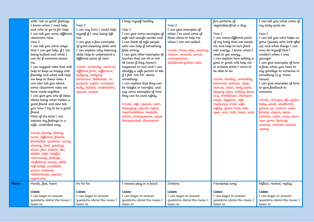| with 'not so good' feelings.<br>I know when I need help<br>and who to go to for help.<br>I can tell you some different<br>classroom rules.<br>Year 2<br>I can tell you some ways<br>that I can get help, $if$ I am<br>being bullied and what I<br>can do if someone teases<br>me.<br>I can suggest rules that will<br>help to keep us happy and<br>friendly and what will help<br>me keep to these rules. I<br>can also tell you about                                                                                                                                                          | Year 2<br>I can say how I could help<br>myself if I was being left<br>out.<br>I can give a few examples<br>of good listening skills and<br>I can explain why listening<br>skills help to understand a<br>different point of view.<br>Vocab: similarity, same as,<br>different from, difference,<br>bullying, bullying<br>behaviour, deliberate, on<br>purpose, unfair, included, | I keep myself healthy.<br>Year 2<br>I can give some examples of<br>safe and unsafe secrets and<br>I can think of safe people<br>who can help if something<br>feels wrong.<br>I can give other examples of<br>touches that are ok or not<br>ok (even if they haven't<br>happened to me) and I can<br>identify a safe person to tell<br>if I felt 'not OK' about<br>something.<br>I can explain that they can | Year 2<br>I can give examples of<br>when I've used some of<br>these ideas to help me<br>when I am not settled.<br>Vocab: Class rules, learning<br>charter, rewards, proud,<br>consequences,<br>Spellbrook golden rules | five portions of<br>vegetables/fruit a day.<br>Year 2<br>I can name different parts<br>of my body that are inside<br>me and help to turn food<br>into energy. I know what I<br>need to get energy.<br>I can explain how setting a<br>goal or goals will help me<br>to achieve what I want to<br>be able to do.<br>Vocab: healthy, unhealthy,<br>balanced, exercise, sleep, | I can tell you what some of<br>my body parts do.<br>Year 2<br>I can tell you who helps us<br>grow (people who look after<br>us) and what things I can<br>now do myself that I<br>couldn't when I was<br>younger.<br>I can give examples of how<br>it feels when you have to<br>say goodbye to someone or<br>something (e.g. move<br>house).<br>I can give examples of how |
|-------------------------------------------------------------------------------------------------------------------------------------------------------------------------------------------------------------------------------------------------------------------------------------------------------------------------------------------------------------------------------------------------------------------------------------------------------------------------------------------------------------------------------------------------------------------------------------------------|----------------------------------------------------------------------------------------------------------------------------------------------------------------------------------------------------------------------------------------------------------------------------------------------------------------------------------------------------------------------------------|-------------------------------------------------------------------------------------------------------------------------------------------------------------------------------------------------------------------------------------------------------------------------------------------------------------------------------------------------------------------------------------------------------------|------------------------------------------------------------------------------------------------------------------------------------------------------------------------------------------------------------------------|----------------------------------------------------------------------------------------------------------------------------------------------------------------------------------------------------------------------------------------------------------------------------------------------------------------------------------------------------------------------------|---------------------------------------------------------------------------------------------------------------------------------------------------------------------------------------------------------------------------------------------------------------------------------------------------------------------------------------------------------------------------|
| some classroom rules we<br>have made together.<br>I can give you lots of ideas<br>about being what makes a<br>good friend and also tell<br>you how I try to be a good<br>friend.<br>Most of the time I can<br>express my feelings in a<br>safe, controlled way.<br>Vocab: family, belong,<br>same, different, friends,<br>friendship, qualities, caring,<br>sharing, kind, greeting,<br>touch, feel, texture, like,<br>dislike, help, helpful,<br>community, feelings,<br>confidence, praise, skills,<br>self-belief, incredible,<br>proud, celebrate,<br>relationships, special,<br>appreciate | bully, bullied, celebrations,<br>special, unique                                                                                                                                                                                                                                                                                                                                 | be helpful or harmful, and<br>say some examples of how<br>they can be used safely.<br>Vocab: safe, special, calm,<br>belonging, special, rights,<br>responsibilities, rewards,<br>proud, consequences, upset,<br>disappointed, illustration                                                                                                                                                                 |                                                                                                                                                                                                                        | choices, clean, body parts,<br>keeping clean, toiletry items<br>(e.g. toothbrush, shampoo,<br>soap), hygienic, safe<br>medicines, trust, safe,<br>safety, green cross code,<br>eyes, ears, look, listen, wait                                                                                                                                                              | to give feedback to<br>someone.<br>Vocab: changes, life cycles,<br>baby, adult, adulthood,<br>grown-up, mature, male,<br>female, vagina, penis,<br>testicles, vulva, anus, learn,<br>new, grow, feelings,<br>anxious, worried, excited,<br>coping                                                                                                                         |
| Hands, feet, heart                                                                                                                                                                                                                                                                                                                                                                                                                                                                                                                                                                              | $H\sigma$ ho ho                                                                                                                                                                                                                                                                                                                                                                  | I wanna play in a band                                                                                                                                                                                                                                                                                                                                                                                      | Zootime                                                                                                                                                                                                                | Friendship song                                                                                                                                                                                                                                                                                                                                                            | Reflect, rewind, replay                                                                                                                                                                                                                                                                                                                                                   |
| Listen<br>I can begin to answer<br>questions about the music I<br>listen to.                                                                                                                                                                                                                                                                                                                                                                                                                                                                                                                    | Listen<br>I can begin to answer<br>questions about the music I<br>listen to.                                                                                                                                                                                                                                                                                                     | Listen<br>I can begin to answer<br>questions about the music I<br>listen to.                                                                                                                                                                                                                                                                                                                                | Listen<br>I can begin to answer<br>questions about the music I<br>listen to.                                                                                                                                           | Listen<br>I can begin to answer<br>questions about the music I<br>listen to.                                                                                                                                                                                                                                                                                               | Listen<br>I can begin to answer<br>questions about the music I<br>listen to.                                                                                                                                                                                                                                                                                              |

**Music**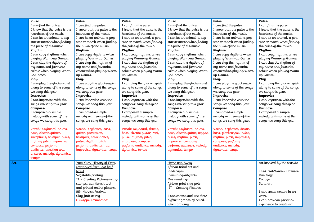|     | Pulse                        | Pulse                        | Pulse                        | Pulse                          | Pulse                        | Pulse                        |
|-----|------------------------------|------------------------------|------------------------------|--------------------------------|------------------------------|------------------------------|
|     | I can find the pulse.        | I can find the pulse.        | I can find the pulse.        | I can find the pulse.          | I can find the pulse.        | I can find the pulse.        |
|     | I know that the pulse is the | I know that the pulse is the | I know that the pulse is the | I know that the pulse is the   | I know that the pulse is the | I know that the pulse is the |
|     | heartheat of the music.      | heartheat of the music.      | heartheat of the music.      | heartheat of the music.        | heartheat of the music.      | heartheat of the music.      |
|     | I can be an animal, a pop    | I can be an animal, a pop    | I can be an animal, a pop    | I can be an animal, a pop      | I can be an animal, a pop    | I can be an animal, a pop    |
|     | star or march when finding   | star or march when finding   | star or march when finding   | star or march when finding     | star or march when finding   | star or march when finding   |
|     | the pulse of the music.      | the pulse of the music.      | the pulse of the music.      | the pulse of the music.        | the pulse of the music.      | the pulse of the music.      |
|     | Rhythm                       | Rhythm                       | Rhythm                       | Rhythm                         | Rhythm                       | Rhythm                       |
|     | I can copy rhythms when      | I can copy rhythms when      | I can copy rhythms when      | I can copy rhythms when        | I can copy rhythms when      | I can copy rhythms when      |
|     | playing Warm-up Games.       | playing Warm-up Games.       | playing Warm-up Games.       | playing Warm-up Games.         | playing Warm-up Games.       | playing Warm-up Games.       |
|     | I can clap the rhythm of     | I can clap the rhythm of     | I can clap the rhythm of     | I can clap the rhythm of       | I can clap the rhythm of     | I can clap the rhythm of     |
|     | my name and favourite        | my name and favourite        | my name and favourite        | my name and favourite          | my name and favourite        | my name and favourite        |
|     | colour when playing Warm-    | colour when playing Warm-    | colour when playing Warm-    | colour when playing Warm-      | colour when playing Warm-    | colour when playing Warm-    |
|     | up Games.                    | up Games.                    | up Games.                    | up Games.                      | up Games.                    | up Games.                    |
|     | Play                         | Play                         | Play                         | Play                           | Play                         | Play                         |
|     | I can play the glockenspiel  | I can play the glockenspiel  | I can play the glockenspiel  | I can play the glockenspiel    | I can play the glockenspiel  | I can play the glockenspiel  |
|     | along to some of the songs   | along to some of the songs   | along to some of the songs   | along to some of the songs     | along to some of the songs   | along to some of the songs   |
|     | we sang this year.           | we sang this year.           | we sang this year.           | we sang this year.             | we sang this year.           | we sang this year.           |
|     | Improvise                    | Improvise                    | Improvise                    | Improvise                      | Improvise                    | Improvise                    |
|     | I can improvise with the     | I can improvise with the     | I can improvise with the     | I can improvise with the       | I can improvise with the     | I can improvise with the     |
|     | songs we sang this year.     | songs we sang this year.     | songs we sang this year.     | songs we sang this year.       | songs we sang this year.     | songs we sang this year.     |
|     | Compose                      | Compose                      | Compose                      | Compose                        | Compose                      | Compose                      |
|     | I composed a simple          | I composed a simple          | I composed a simple          | I composed a simple            | I composed a simple          | I composed a simple          |
|     | melody with some of the      | melody with some of the      | melody with some of the      | melody with some of the        | melody with some of the      | melody with some of the      |
|     | songs we sang this year.     | songs we sang this year.     | songs we sang this year.     | songs we sang this year.       | songs we sang this year.     | songs we sang this year.     |
|     |                              |                              |                              |                                |                              |                              |
|     | Vocab: Keyboard, drums,      | Vocab: Keyboard, bass,       | Vocab: Keyboard, drums,      | Vocab: Keyboard, drums,        | Vocab: Keyboard, drums,      |                              |
|     | bass, electric guitars,      | guitar, percussion,          | bass, electric guitar, rock, | bass, electric guitar, reggae, | bass, glockenspiel, pulse,   |                              |
|     | saxophone, trumpet, pulse,   | trumpets, saxophones,        | pulse, rhythm, pitch,        | pulse, rhythm, pitch,          | rhythm, pitch, improvise,    |                              |
|     | rhythm, pitch, improvise,    | pulse, rhythm, pitch,        | improvise, compose,          | improvise, compose,            | compose, perform,            |                              |
|     | compose, perform,            | perform, audience, rap,      | perform, audience, melody,   | perform, audience, melody,     | audience, melody,            |                              |
|     | audience, question and       | improvise, dynamics, tempo   | dynamics, tempo              | dynamics, tempo                | dynamics, tempo              |                              |
|     | answer, melody, dynamics,    |                              |                              |                                |                              |                              |
|     | tempo                        |                              |                              |                                |                              |                              |
| Art |                              | Yum Yum! History of Food     |                              | Home and Away                  |                              | Art inspired by the seaside  |
|     |                              | (continued from last half    |                              | African tribal art and         |                              |                              |
|     |                              | term)-                       |                              | landscapes                     |                              | The Great Wave – Hokusai     |
|     |                              | Vegetable printing           |                              | Examining artefacts            |                              | Van Gogh                     |
|     |                              | IT - Creating Pictures using |                              | Mask making                    |                              | Collage                      |
|     |                              | stamps, paintbrush tool      |                              | African print clay pots        |                              | Sand art                     |
|     |                              | and printed online pictures. |                              | IT - Creating Pictures         |                              |                              |
|     |                              | RE-Harvest Festival          |                              |                                |                              | I can create texture in art  |
|     |                              | Clay fruit or veg            |                              | I can choose and use three     |                              | work.                        |
|     |                              | Giuseppe Arcimboldo          |                              | different grades of pencil     |                              | I can draw on personal       |
|     |                              |                              |                              | when drawing.                  |                              | experience to create art     |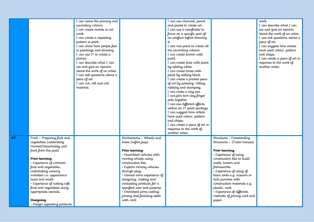|           |                                                  | I can name the primary and   |                              | I can use charcoal, pencil     |                              | work.                          |
|-----------|--------------------------------------------------|------------------------------|------------------------------|--------------------------------|------------------------------|--------------------------------|
|           |                                                  |                              |                              | and pastel to create art.      |                              | I can describe what I can      |
|           |                                                  | secondary colours            |                              |                                |                              |                                |
|           |                                                  | I can create moods in art    |                              | I can use a viewfinder to      |                              | see and give an opinion        |
|           |                                                  | work.                        |                              | focus on a specific part of    |                              | about the work of an artist.   |
|           |                                                  | I can create a repeating     |                              | an artefact before drawing     |                              | I can ask questions about a    |
|           |                                                  | pattern in print.            |                              | it.                            |                              | piece of art.                  |
|           |                                                  | I can show how people feel   |                              | I can mix paint to create all  |                              | I can suggest how artists      |
|           |                                                  | in paintings and drawing     |                              | the secondary colours.         |                              | have used colour, pattern      |
|           |                                                  | I can use IT to create a     |                              | I can create brown with        |                              | and shape.                     |
|           |                                                  | picture.                     |                              | paint.                         |                              | I can create a piece of art in |
|           |                                                  | I can describe what I can    |                              | I can create tints with paint  |                              | response to the work of        |
|           |                                                  | see and give an opinion      |                              | by adding white.               |                              | another artist.                |
|           |                                                  | about the work of an artist. |                              | I can create tones with        |                              |                                |
|           |                                                  | I can ask questions about a  |                              | paint by adding black.         |                              |                                |
|           |                                                  | piece of art.                |                              | I can create a printed piece   |                              |                                |
|           |                                                  | I can cut, roll and coil     |                              | of art by pressing, rolling,   |                              |                                |
|           |                                                  | material.                    |                              | rubbing and stamping.          |                              |                                |
|           |                                                  |                              |                              | I can make a clay pot.         |                              |                                |
|           |                                                  |                              |                              | I can join two clay finger     |                              |                                |
|           |                                                  |                              |                              | pots together.                 |                              |                                |
|           |                                                  |                              |                              | I can use different effects    |                              |                                |
|           |                                                  |                              |                              | within an IT paint package.    |                              |                                |
|           |                                                  |                              |                              | I can suggest how artists      |                              |                                |
|           |                                                  |                              |                              | have used colour, pattern      |                              |                                |
|           |                                                  |                              |                              | and shape.                     |                              |                                |
|           |                                                  |                              |                              | I can create a piece of art in |                              |                                |
|           |                                                  |                              |                              | response to the work of        |                              |                                |
|           |                                                  |                              |                              | another artist.                |                              |                                |
| <b>DT</b> | Food - Preparing fruit and                       |                              | Mechanisms - Wheels and      |                                | Structures - Freestanding    |                                |
|           | vegetables (celebrating                          |                              | Axles (safari jeep)          |                                | Structures - (Tudor houses)  |                                |
|           | Harvest/Seasonality and                          |                              |                              |                                |                              |                                |
|           | food from the past)                              |                              | Prior learning               |                                | Prior learning               |                                |
|           |                                                  |                              | · Assembled vehicles with    |                                | · Experience of using        |                                |
|           | Prior learning                                   |                              | moving wheels using          |                                | construction kits to build   |                                |
|           | · Experience of common                           |                              | construction kits.           |                                | walls, towers and            |                                |
|           | fruit and vegetables,                            |                              | · Explore moving vehicles    |                                | frameworks.                  |                                |
|           | undertaking sensory                              |                              | through play.                |                                | • Experience of using of     |                                |
|           | activities i.e. appearance                       |                              | · Gained some experience of  |                                | basic tools e.g. scissors or |                                |
|           |                                                  |                              | designing, making and        |                                | hole punches with            |                                |
|           | taste and smell.<br>· Experience of cutting soft |                              | evaluating products for a    |                                | construction materials e.g.  |                                |
|           |                                                  |                              |                              |                                |                              |                                |
|           | fruit and vegetables using                       |                              | specified user and purpose.  |                                | plastic, card.               |                                |
|           | appropriate utensils.                            |                              | · Developed some cutting,    |                                | · Experience of different    |                                |
|           |                                                  |                              | joining and finishing skills |                                | methods of joining card and  |                                |
|           | Designing                                        |                              | with card.                   |                                | paper.                       |                                |
|           | · Design appealing products                      |                              |                              |                                |                              |                                |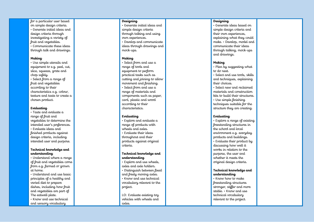for a particular user based on simple design criteria. • Generate initial ideas and design criteria through investigating a variety of fruit and vegetables. • Communicate these ideas through talk and drawings.

### **Making**

• Use simple utensils and equipment to e.g. peel, cut, slice, squeeze, grate and chop safely.

• Select from a range of fruit and vegetables according to their characteristics e.g. colour, texture and taste to create a chosen product.

### **Evaluating**

• Taste and evaluate a range of fruit and vegetables to determine the intended user's preferences. • Evaluate ideas and finished products against design criteria, including intended user and purpose.

### **Technical knowledge and understanding**

• Understand where a range of fruit and vegetables come from e.g. farmed or grown at home.

• Understand and use basic principles of a healthy and varied diet to prepare dishes, including how fruit and vegetables are part of The eatwell plate.

• Know and use technical and sensory vocabulary

### **Designing**

• Generate initial ideas and simple design criteria through talking and using own experiences. • Develop and communicate ideas through drawings and mock-ups.

### **Making**

• Select from and use a range of tools and equipment to perform practical tasks such as cutting and joining to allow movement and finishing. • Select from and use a range of materials and components such as paper, card, plastic and wood according to their characteristics.

### **Evaluating**

• Explore and evaluate a range of products with wheels and axles. • Evaluate their ideas throughout and their products against original criteria.

### **Technical knowledge and understanding**

• Explore and use wheels, axles and axle holders. • Distinguish between fixed and freely moving axles. • Know and use technical vocabulary relevant to the project.

LO: Evaluate existing toy vehicles with wheels and axles.

### **Designing**

• Generate ideas based on their own experiences. explaining what they could make. • Develop, model and communicate their ideas through talking, mock-ups and drawings.

### **Making**

• Plan by suggesting what to do next.

• Select and use tools, skills and techniques, explaining their choices.

• Select new and reclaimed materials and construction kits to build their structures. • Use simple finishing

techniques suitable for the structure they are creating.

### **Evaluating**

• Explore a range of existing freestanding structures in the school and local environment e.g. everyday products and buildings. • Evaluate their product by discussing how well it works in relation to the purpose, the user and whether it meets the original design criteria.

### **Technical knowledge and understanding**

• Know how to make freestanding structures stronger, stiffer and more stable. • Know and use technical vocabulary relevant to the project.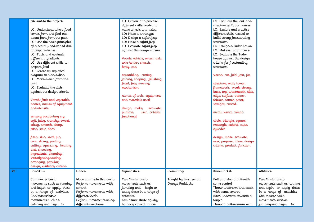| relevant to the project.                     |                                            | LO: Explore and practise                |                                          | LO: Evaluate the look and                |                                              |
|----------------------------------------------|--------------------------------------------|-----------------------------------------|------------------------------------------|------------------------------------------|----------------------------------------------|
|                                              |                                            | different skills needed to              |                                          | structure of Tudor houses                |                                              |
| LO: Understand where food                    |                                            | make wheels and axles.                  |                                          | LO: Explore and practise                 |                                              |
| comes from and find out                      |                                            | LO: Make a prototype                    |                                          | different skills needed to               |                                              |
| about food from the past                     |                                            | LO: Design a safari jeep                |                                          | build strong freestanding                |                                              |
| LO: Use the basic principles                 |                                            | LO: Make a safari jeep                  |                                          | <i>structures</i>                        |                                              |
| of a healthy and varied diet                 |                                            | LO: Evaluate safari jeep                |                                          | LO: Design a Tudor house                 |                                              |
| to prepare dishes                            |                                            | against the design criteria             |                                          | LO: Make a Tudor house                   |                                              |
| LO: Taste and evaluate                       |                                            |                                         |                                          | LO: Evaluate the Tudor                   |                                              |
| different ingredients                        |                                            | Vocab: vehicle, wheel, axle,            |                                          | house against the design                 |                                              |
| LO: Use different skills to                  |                                            | axle holder, chassis,                   |                                          | criteria for freestanding                |                                              |
| prepare food                                 |                                            | body, cab                               |                                          | structures                               |                                              |
| LO: Create an exploded                       |                                            |                                         |                                          |                                          |                                              |
| diagram to plan a dish                       |                                            | assembling, cutting,                    |                                          | Vocab: cut, fold, join, fix              |                                              |
| LO: Make a dish from the                     |                                            | joining, shaping, finishing,            |                                          |                                          |                                              |
| past                                         |                                            | fixed, free, moving,                    |                                          | structure, wall, tower,                  |                                              |
| LO: Evaluate the dish                        |                                            | mechanism                               |                                          | framework, weak, strong,                 |                                              |
| against the design criteria                  |                                            |                                         |                                          | base, top, underneath, side,             |                                              |
|                                              |                                            | names of tools, equipment               |                                          | edge, surface, thinner,                  |                                              |
| Vocab: fruit and vegetable                   |                                            | and materials used                      |                                          | thicker, corner, point,                  |                                              |
| names, names of equipment                    |                                            |                                         |                                          | straight, curved                         |                                              |
| and utensils                                 |                                            | design, make,<br>evaluate,              |                                          |                                          |                                              |
|                                              |                                            | user, criteria,<br>purpose,             |                                          | metal, wood, plastic                     |                                              |
| sensory vocabulary e.g.                      |                                            | functional                              |                                          |                                          |                                              |
| soft, juicy, crunchy, sweet,                 |                                            |                                         |                                          | circle, triangle, square,                |                                              |
| sticky, smooth, sharp,                       |                                            |                                         |                                          | rectangle, cuboid, cube,                 |                                              |
| crisp, sour, hard                            |                                            |                                         |                                          | cylinder                                 |                                              |
|                                              |                                            |                                         |                                          |                                          |                                              |
| flesh, skin, seed, pip,                      |                                            |                                         |                                          | design, make, evaluate,                  |                                              |
| core, slicing, peeling,                      |                                            |                                         |                                          | user, purpose, ideas, design             |                                              |
| cutting, squeezing, healthy                  |                                            |                                         |                                          | criteria, product, function              |                                              |
| diet, choosing,                              |                                            |                                         |                                          |                                          |                                              |
| ingredients, planning,                       |                                            |                                         |                                          |                                          |                                              |
| investigating tasting,                       |                                            |                                         |                                          |                                          |                                              |
| arranging, popular,                          |                                            |                                         |                                          |                                          |                                              |
| design, evaluate, criteria                   |                                            |                                         |                                          |                                          |                                              |
| Ball Skills                                  | Dance                                      | Gymnastics                              | Swimming                                 | Kwik Cricket                             | Athletics                                    |
|                                              |                                            |                                         |                                          |                                          |                                              |
| Can master basic                             | Move in time to the music                  | Can Master basic                        | Taught by teachers at<br>Grange Paddocks | Roll and stop a ball with                | Can Master basic                             |
| movements such as running                    | Perform movements with<br>control          | movements such as                       |                                          | some control<br>Throw underarm and catch | movements such as running                    |
| and begin to apply these                     |                                            | jumping and begin to                    |                                          |                                          | and begin to apply these                     |
| in a range of activities<br>Can master basic | Perform movements with<br>different levels | apply these in a range of<br>activities |                                          | with some control.                       | in a range of activities<br>Can Master basic |
|                                              |                                            |                                         |                                          | Bowl underarm towards a                  |                                              |
| movements such as                            | Perform movements using                    | Can demonstrate agility,                |                                          | target.                                  | movements such as                            |
| catching and begin to                        | different directions                       | balance, co-ordination                  |                                          | Throw a ball overarm with                | jumping and begin to                         |

 $PE$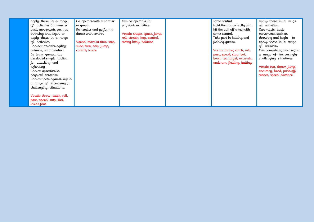| apply these in a range<br>of activities Can master<br>basic movements such as<br>throwing and begin to<br>apply these in a range<br>ol activities<br>Can demonstrate agility,<br>balance, co-ordination<br>In team games, has<br>developed simple tactics<br>for attacking and<br>defending | Co-operate with a partner<br>or group<br>Remember and perform a<br>dance with control<br>Vocab: move in time, step,<br>slide, turn, skip, jump,<br>control, levels | Can co-operative in<br>physical activities<br>Vocab: shape, space, jump,<br>roll, stretch, hop, control,<br>strong body, balance | some control.<br>Hold the bat correctly and<br>hit the ball off a tee with<br>some control.<br>Take part in batting and<br>fielding games.<br>Vocab: throw, catch, roll,<br>pass, speed, stop, bat,<br>bowl, tee, target, accurate,<br>underam, fielding, batting | apply these in a range<br>of activities<br>Can master basic<br>movements such as<br>throwing and begin to<br>apply these in a range<br>of activities<br>Can compete against self in<br>a range of increasingly<br>challenging situations.<br>Vocab: run, throw, jump, |
|---------------------------------------------------------------------------------------------------------------------------------------------------------------------------------------------------------------------------------------------------------------------------------------------|--------------------------------------------------------------------------------------------------------------------------------------------------------------------|----------------------------------------------------------------------------------------------------------------------------------|-------------------------------------------------------------------------------------------------------------------------------------------------------------------------------------------------------------------------------------------------------------------|-----------------------------------------------------------------------------------------------------------------------------------------------------------------------------------------------------------------------------------------------------------------------|
| Can co-operative in<br>physical activities<br>Can compete against self in<br>a range of increasingly<br>challenging situations.<br>Vocab: throw, catch, roll,<br>pass, speed, stop, kick,<br>inside foot                                                                                    |                                                                                                                                                                    |                                                                                                                                  |                                                                                                                                                                                                                                                                   | accuracy, bend, push off,<br>stance, speed, distance                                                                                                                                                                                                                  |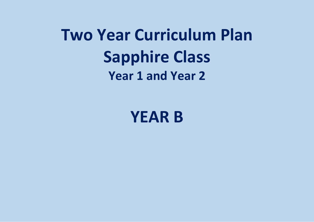# **Two Year Curriculum Plan Sapphire Class Year 1 and Year 2**

**YEAR B**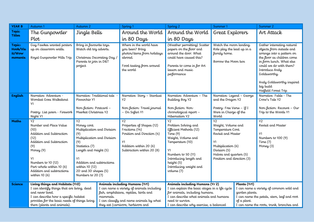| <b>YEAR B</b>                           | Autumn 1                                                                          | Autumn 2                                                                                                              |                                                                                         | Spring 1                                                                                                                                  | Spring <sub>2</sub>                                                                                                                                                          | Summer 1                                                                                     |                | Summer 2                                                                                                                                                                                                                                            |
|-----------------------------------------|-----------------------------------------------------------------------------------|-----------------------------------------------------------------------------------------------------------------------|-----------------------------------------------------------------------------------------|-------------------------------------------------------------------------------------------------------------------------------------------|------------------------------------------------------------------------------------------------------------------------------------------------------------------------------|----------------------------------------------------------------------------------------------|----------------|-----------------------------------------------------------------------------------------------------------------------------------------------------------------------------------------------------------------------------------------------------|
| <b>Topic</b>                            | The Gunpowder                                                                     | Jingle Bells                                                                                                          |                                                                                         | Around the World                                                                                                                          | Around the World                                                                                                                                                             | Great Explorers                                                                              |                | Art Attack                                                                                                                                                                                                                                          |
| <b>Titles</b>                           | Plot                                                                              |                                                                                                                       |                                                                                         | in 80 Days                                                                                                                                | in 80 Days                                                                                                                                                                   |                                                                                              |                |                                                                                                                                                                                                                                                     |
| Topic:<br>Hook/Vis<br>it/Wow<br>moments | Guy Fawkes wanted posters<br>up on classroom walls.<br>Royal Gunpowder Mills Trip | Bring in favourite toys.<br>Watch old toy adverts.<br>Christmas Decorating Day /<br>Parents to join in D&T<br>project |                                                                                         | Where in the world have<br>you been? Bring<br>photos/items from holidays<br>abr <del>o</del> ad.<br>Food tasting from around<br>the world | (Weather permitting) Scatter<br>papers on the floor and<br>around the door. What<br>could have caused this?<br>Parents to come in for Art<br>lesson and music<br>performance | Watch the moon landing.<br>Role play the lead up in a<br>family home.<br>Borrow the Moon box |                | Gather interesting natural<br>objects from outside and<br>arrange into a pattern on<br>the floor as children come<br>in form lunch. What else<br>could we do with them?<br>Introduce Andy<br>Goldsworthy.<br>Andy Goldsworthy inspired<br>big build |
| English                                 | Narrative: Adventure -                                                            |                                                                                                                       | Narrative: Story - Stardust<br>Narrative: Adventure - The<br>Narrative: Legend - George |                                                                                                                                           | Hatfield Forest Trip<br>Narrative: Fable - The                                                                                                                               |                                                                                              |                |                                                                                                                                                                                                                                                     |
|                                         | Wombat Goes Walkabout                                                             | Narrative: Traditional tale<br>Pinnochio Y1                                                                           |                                                                                         | Y2                                                                                                                                        | Building Boy Y2                                                                                                                                                              | and the Dragon Y2                                                                            |                | Crow's Tale Y2                                                                                                                                                                                                                                      |
|                                         | Y1<br>Poetry: List poem - Firework<br>Night Y1                                    | Non-fiction: Postcard -<br>Meerkat Christmas Y2                                                                       |                                                                                         | Non-fiction: Travel journal<br>- On Safari Y1                                                                                             | Non-fiction: Non-<br>chronological report -<br>Hibernation Y2                                                                                                                | Poetry: Free Verse - If I<br>Were in Charge of the<br>World                                  |                | Non-fiction: Recount - Our<br>Trip to the Woods Y1                                                                                                                                                                                                  |
| Maths                                   | Y2                                                                                | <b>Y2</b>                                                                                                             |                                                                                         | <b>Y2</b>                                                                                                                                 | Y2                                                                                                                                                                           | Y2                                                                                           |                | Y2                                                                                                                                                                                                                                                  |
|                                         | Number and Place Value<br>(10)                                                    | Money cont.<br>Multiplication and Division                                                                            |                                                                                         | Properties of Shapes (12)<br>Fractions (14)                                                                                               | Problem Solving and<br>Efficient Methods (12)                                                                                                                                | Weight, Volume and<br>Temperature Cont.                                                      |                | Revisit and Master                                                                                                                                                                                                                                  |
|                                         | Addition and Subtraction                                                          | (9)                                                                                                                   |                                                                                         | Position and Direction (4)                                                                                                                | Time $(9)$                                                                                                                                                                   | Revisit and Master                                                                           |                | Y1                                                                                                                                                                                                                                                  |
|                                         | (12)                                                                              | Multiplication and Division                                                                                           |                                                                                         |                                                                                                                                           | Weight, Volume and                                                                                                                                                           |                                                                                              |                | Numbers to 100 (9)                                                                                                                                                                                                                                  |
|                                         | Addition and Subtraction<br>(9)                                                   | (9)<br>Statistics (7)                                                                                                 |                                                                                         | Y1<br>Addition within 20 (6)                                                                                                              | Temperature (10)                                                                                                                                                             | Y1<br>Multiplication (6)                                                                     |                | Time $(7)$                                                                                                                                                                                                                                          |
|                                         | Money (9)                                                                         | Length and Height (5)                                                                                                 |                                                                                         | Subtraction within 20 (8)                                                                                                                 | Y1                                                                                                                                                                           | Division (5)                                                                                 |                | Money (3)                                                                                                                                                                                                                                           |
|                                         |                                                                                   |                                                                                                                       |                                                                                         |                                                                                                                                           | Numbers to 50 (11)                                                                                                                                                           | Halves and quarters (5)                                                                      |                |                                                                                                                                                                                                                                                     |
|                                         | Y1<br>Numbers to 10 (12)                                                          | Υ1<br>Addition and subtractions                                                                                       |                                                                                         |                                                                                                                                           | Introducing length and<br>height (5)                                                                                                                                         | Position and direction (3)                                                                   |                |                                                                                                                                                                                                                                                     |
|                                         | Part-whole within 10 (6)                                                          | within 10 (12)                                                                                                        |                                                                                         |                                                                                                                                           | Introducing weight and                                                                                                                                                       |                                                                                              |                |                                                                                                                                                                                                                                                     |
|                                         | Addition and subtractions                                                         | 2D and 3D shapes (5)                                                                                                  |                                                                                         |                                                                                                                                           | volume (7)                                                                                                                                                                   |                                                                                              |                |                                                                                                                                                                                                                                                     |
|                                         | within $10(6)$                                                                    | Numbers to 20 (7)                                                                                                     |                                                                                         |                                                                                                                                           |                                                                                                                                                                              |                                                                                              |                |                                                                                                                                                                                                                                                     |
| <b>Science</b>                          | Living things and Habitats (Yr2)                                                  |                                                                                                                       |                                                                                         | Animals including Humans (Yr1)                                                                                                            | Animals including Humans (Yr 2)                                                                                                                                              |                                                                                              | Plants (Yr1)   |                                                                                                                                                                                                                                                     |
|                                         | I can identify things that are living, dead                                       |                                                                                                                       |                                                                                         | I can name a variety of animals including                                                                                                 | I can explain the basic stages in a life cycle                                                                                                                               |                                                                                              |                | I can name a variety of common wild and                                                                                                                                                                                                             |
|                                         | and never lived.<br>I can describe how a specific habitat                         |                                                                                                                       | mammals.                                                                                | fish, amphibians, reptiles, birds and                                                                                                     | for animals, including humans.<br>I can describe what animals and humans                                                                                                     |                                                                                              | garden plants. | I can name the petals, stem, leaf and root                                                                                                                                                                                                          |
|                                         | provides for the basic needs of things living                                     |                                                                                                                       |                                                                                         | I can classify and name animals by what                                                                                                   | need to survive.                                                                                                                                                             |                                                                                              | of a plant.    |                                                                                                                                                                                                                                                     |
|                                         | there (plants and animals).                                                       |                                                                                                                       |                                                                                         | they eat (carnivore, herbivore and                                                                                                        | I can describe why exercise, a balanced                                                                                                                                      |                                                                                              |                | I can name the roots, trunk, branches and                                                                                                                                                                                                           |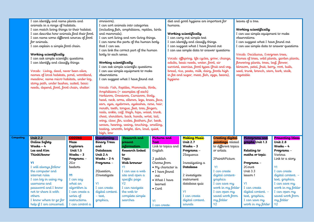|           | I can identify and name plants and          |                  | omnivore).             |                                                |                           |                    | diet and good hygiene are important for        |                          | leaves of a tree.                           |                         |
|-----------|---------------------------------------------|------------------|------------------------|------------------------------------------------|---------------------------|--------------------|------------------------------------------------|--------------------------|---------------------------------------------|-------------------------|
|           | animals in a range of habitats.             |                  |                        | I can sort animals into categories             |                           | humans.            |                                                |                          |                                             |                         |
|           | I can match living things to their habitat. |                  |                        | (including fish, amphibians, reptiles, birds   |                           |                    |                                                |                          | Working scientifically                      |                         |
|           | I can describe how animals find their food. |                  | and mammals).          |                                                |                           |                    | Working scientifically                         |                          | I can use simple equipment to make          |                         |
|           | I can name some different sources of food   |                  |                        | I can sort living and non-living things.       |                           |                    | I can carry out simple test                    |                          | observations                                |                         |
|           | for animals.                                |                  |                        | I can name the parts of the human body         |                           |                    | I can identify and classify things             |                          | I can suggest what I have found out         |                         |
|           | I can explain a simple food chain.          |                  | that I can see.        |                                                |                           |                    | I can suggest what I have found out            |                          | I can use simple data to answer questions   |                         |
|           |                                             |                  |                        | I can link the correct part of the human       |                           |                    | I can use simple data to answer questions      |                          |                                             |                         |
|           | Working scientifically                      |                  | body to each sense.    |                                                |                           |                    |                                                |                          | Vocab: Deciduous, Evergreen trees,          |                         |
|           | I can ask simple scientific questions       |                  |                        |                                                |                           |                    | Vocab: offspring, life cycles, grow, change,   |                          | Names of trees, wild plants, garden plants, |                         |
|           |                                             |                  |                        |                                                |                           |                    |                                                |                          |                                             |                         |
|           | I can identify and classify things          |                  | Working scientifically |                                                |                           |                    | adults, basic needs, water, food, air          |                          | flowering plants, trees, leaf, flower,      |                         |
|           |                                             |                  |                        | I can ask simple scientific questions          |                           |                    | survival, exercise, food types (fruit and veg, |                          | blossom, petal, fruit, berry, root, bulb,   |                         |
|           | Vocab: Living, dead, never been alive,      |                  |                        | I can use simple equipment to make             |                           |                    | bread, rice, pasta, milk, dairy, foods high    |                          | seed, trunk, branch, stem, bark, stalk,     |                         |
|           | names of local habitats, pond, woodland,    |                  | observations           |                                                |                           |                    | in fat and sugar, meat, fish, eggs, beans),    |                          | vegetable                                   |                         |
|           | meadow, name micro habitats, under log,     |                  |                        | I can suggest what I have found out            |                           | hygiene            |                                                |                          |                                             |                         |
|           | stony path, under bushes, suited, basic     |                  |                        |                                                |                           |                    |                                                |                          |                                             |                         |
|           | needs, depend, food, food chain, shelter.   |                  |                        | Vocab: Fish, Reptiles, Mammals, Birds,         |                           |                    |                                                |                          |                                             |                         |
|           |                                             |                  |                        | Amphibians (+ examples of each)                |                           |                    |                                                |                          |                                             |                         |
|           |                                             |                  |                        | Herbivore, Omnivore, Carnivore, Body,          |                           |                    |                                                |                          |                                             |                         |
|           |                                             |                  |                        | head, neck, arms, elbows, legs, knees, face,   |                           |                    |                                                |                          |                                             |                         |
|           |                                             |                  |                        | ears, eyes, eyebrows, eyelashes, nose, hair,   |                           |                    |                                                |                          |                                             |                         |
|           |                                             |                  |                        | mouth, teeth, tongue, feet, toes, fingers,     |                           |                    |                                                |                          |                                             |                         |
|           |                                             |                  |                        | nails, ankle, call, thigh, hips, waist, trunk, |                           |                    |                                                |                          |                                             |                         |
|           |                                             |                  |                        | chest, shoulders, back, hands, wrist, tail,    |                           |                    |                                                |                          |                                             |                         |
|           |                                             |                  |                        | wing, claw, fin, scales, feathers, fur, beak,  |                           |                    |                                                |                          |                                             |                         |
|           |                                             |                  |                        | senses, hearing, seeing, touching, smelling,   |                           |                    |                                                |                          |                                             |                         |
|           |                                             |                  |                        | tasting, smooth, bright, dim, loud, quiet,     |                           |                    |                                                |                          |                                             |                         |
|           |                                             |                  | high, low              |                                                |                           |                    |                                                |                          |                                             |                         |
| Computing | <b>Unit 2.2</b>                             | <b>CODING</b>    | <b>Questioning</b>     | Research and                                   | Pictures and              |                    | <b>Making Music</b>                            | <b>Creating digital</b>  | Pictograms and                              | <b>Presenting Ideas</b> |
|           | Online Safety                               | Maze             | <b>Binary Tress</b>    | present                                        | Text                      |                    | <b>Unit 2.7</b>                                | <b>paintings</b> related | graphs Unit 1.3                             | Unit $2.8$              |
|           |                                             |                  |                        | information                                    |                           |                    |                                                |                          |                                             |                         |
|           | Weeks - 4                                   | <b>Explorers</b> | and                    |                                                |                           | Link to topics and | Weeks $-3$                                     | to different topics      |                                             | Weeks - 4               |
|           | Lee and Kim                                 | Unit $1.5$       | <b>Databases</b>       | Research linked                                | English                   |                    | Programs -                                     | or artists               | Relating to                                 | Programs -              |
|           | ThinkUknow                                  | Weeks – 3        | <b>Unit 2.4</b>        | $t\sigma$                                      |                           |                    | 2Sequence                                      |                          | maths or topic                              | Various                 |
|           |                                             | Programs -       | $Weeks - 2-4$          | Topic                                          | 2 publish                 |                    |                                                | 2PaintAPicture           |                                             | Link to a story         |
|           | <b>Y1</b>                                   | $2G\sigma$       | Programs -             | Web browser                                    | Choose from               |                    | Investigating a                                |                          | Programs -                                  |                         |
|           | I will always follow                        | beebots          |                        | Y1                                             | $\bullet$ My character is |                    | Database                                       | <b>Y1</b>                | 2Count                                      | Y1                      |
|           | the computer and                            |                  | 2Question,             | I can use a web                                | • I have found            |                    |                                                | I can create             | Unit 3.3                                    | I can create            |
|           | internet rules                              | <b>Y1</b>        | 2Investigate           | site and open a                                | $\sigma$ ut               |                    | 2 investigate                                  | digital content-         | lesson 1                                    | digital content. -      |
|           | I can log in using my                       | I can say        |                        | specific page                                  | • What I have             |                    | instrument                                     | graphics                 |                                             | text, graphics,         |
|           | username and                                | what an          | <b>Y1</b>              | $\overline{Y2}$                                | learned                   |                    | database quiz                                  | I can save my            | <b>Y1</b>                                   | I can save my           |
|           | password and I know                         | algorithm is     | I can create           | I can navigate                                 | $\bullet$ Card            |                    |                                                | work in my folder        | I can create                                | work in my folder       |
|           | not to share it with                        | I can create a   | digital content.       | the web to                                     |                           |                    | <b>Y1</b>                                      | I can open my            | digital content. -                          | I can open my           |
|           | others                                      | series of        | - text,                | complete simple                                |                           |                    | I can create                                   | saved work from          | text, graphics,                             | saved work from         |
|           | I know where to go for                      | instructions.    | graphics,              | searches                                       | Y1                        |                    | digital content.                               | my folder                | I can save my                               | my folder               |
|           | help if I am concerned.                     | I can control a  |                        |                                                | I can create              |                    | sounds                                         | <b>Y2</b>                | work in my folder                           | <b>Y2</b>               |
|           |                                             |                  |                        |                                                |                           |                    |                                                |                          |                                             |                         |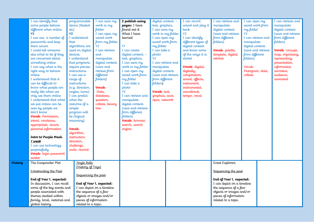|    | I can identify that                                     | programmable          | I can save my              | 2 publish using    | digital content. - | I can record       | I can retrieve and                                     | I can open my      | I can retrieve and |
|----|---------------------------------------------------------|-----------------------|----------------------------|--------------------|--------------------|--------------------|--------------------------------------------------------|--------------------|--------------------|
|    | some people behave                                      | device (Beebot        | work in my                 | pages: I have      | text, graphics,    | sound and play it  | manipulate                                             | saved work from    | manipulate         |
|    | different when online                                   | etc)                  | <b>folder</b>              | found out &        | I can save my      | back               | digital content.                                       | my folder          | digital content.   |
|    | $Y^2$                                                   | <b>Y2</b>             | I can open my              | What I have        | work in my folder  | <b>Y2</b>          | (save and retrieve                                     | Y <sub>2</sub>     | (save and retrieve |
|    | I can use a number of                                   | I understand          | saved work                 | learned            | I can open my      | I can identify     | from different                                         | I can retrieve and | from different     |
|    | passwords and keep                                      | that                  | from my folder             |                    | saved work from    | different types of | folders)                                               | manipulate         | folders)           |
|    | them secure                                             | algorithms are        | <b>Y2</b>                  | <b>Y1</b>          | my folder          | digital content    |                                                        | digital content.   |                    |
|    | I could tell someone                                    | used on digital       | I can retrieve             | I can create       | I can take a       | and know some      | Vocab: palette,                                        | (save and retrieve | Vocab: concept,    |
|    | else what to do if they                                 | devices.              | and                        | digital content. - | photo              | of the ways it is  | template, digital,                                     | from different     | map, organising,   |
|    | are concerned about                                     | I understand          | manipulate                 | text, graphics,    | Y2                 | stored             | retrieve                                               | folders)           | representing,      |
|    | something online                                        | that programs         | digital content.           | I can save my      | I can retrieve and |                    |                                                        |                    | presentation,      |
|    | I can say what is the                                   | require precise       | (save and                  | work in my folder  | manipulate         | Vocab: digital,    |                                                        | Vocab:             | informative,       |
|    | right way to behave                                     | instructions.         | retrieve from              | I can open my      | digital content.   | digitally,         |                                                        | Pictogram, data,   | narrative,         |
|    | online                                                  | I can use a           | different                  | saved work from    | (save and retrieve | composition,       |                                                        | collate            | audience,          |
|    | I understand that it                                    | range of              | folders)                   | my folder          | from different     | sound, effects,    |                                                        |                    | animated           |
|    | can be difficult to                                     | instructions          |                            | I can take a       | folders)           | instrument,        |                                                        |                    |                    |
|    | know what people are                                    | (e.g. direction,      | Vocab:                     | photo              |                    | instrumental,      |                                                        |                    |                    |
|    | really like when we                                     | angles, turns).       | Data,                      | <b>Y2</b>          | Vocab: text,       | soundtrack,        |                                                        |                    |                    |
|    | only see them online                                    | I can predict         | database,                  | I can retrieve and | graphics, save,    | tempo, vocal       |                                                        |                    |                    |
|    | I understand that what                                  | what the              | question,                  | manipulate         | open, network      |                    |                                                        |                    |                    |
|    | we put online can be                                    | outcome of a          | collate, binary            | digital content.   |                    |                    |                                                        |                    |                    |
|    | seen by people we                                       | simple                | tree                       | (save and retrieve |                    |                    |                                                        |                    |                    |
|    | don't know                                              | program will          |                            | from different     |                    |                    |                                                        |                    |                    |
|    | Vocab: Permission,                                      | be (logical           |                            | folders)           |                    |                    |                                                        |                    |                    |
|    | intent, courteous,                                      | reasoning)            |                            | Vocab: browser,    |                    |                    |                                                        |                    |                    |
|    | appropriate, secure,                                    |                       |                            | search, search     |                    |                    |                                                        |                    |                    |
|    | personal information                                    | Vocab:                |                            | engine             |                    |                    |                                                        |                    |                    |
|    |                                                         | algorithm,            |                            |                    |                    |                    |                                                        |                    |                    |
|    | Intro to Purple Mash                                    | instruction,          |                            |                    |                    |                    |                                                        |                    |                    |
|    | 1 week                                                  | direction,            |                            |                    |                    |                    |                                                        |                    |                    |
|    | I can use technology                                    | challenge,            |                            |                    |                    |                    |                                                        |                    |                    |
|    | purposefully                                            | undo, rewind          |                            |                    |                    |                    |                                                        |                    |                    |
|    | Vocab: login password                                   |                       |                            |                    |                    |                    |                                                        |                    |                    |
|    | avatar                                                  |                       |                            |                    |                    |                    |                                                        |                    |                    |
| my | The Gunpowder Plot                                      | Jingle Bells          |                            |                    |                    |                    | Great Explorers                                        |                    |                    |
|    |                                                         | (History of Tous)     |                            |                    |                    |                    |                                                        |                    |                    |
|    | Constructing the Past                                   |                       |                            |                    |                    |                    | Sequencing the past                                    |                    |                    |
|    |                                                         | Sequencing the past   |                            |                    |                    |                    |                                                        |                    |                    |
|    | End of Year 1, expected:<br>In discussion, I can recall |                       | End of Year 1, expected:   |                    |                    |                    | End of Year 1, expected:<br>I can depict on a timeline |                    |                    |
|    | some of the key events and                              |                       | I can depict on a timeline |                    |                    |                    | the sequence of a few                                  |                    |                    |
|    | people associated with                                  | the sequence of a few |                            |                    |                    |                    | objects or images and/or                               |                    |                    |
|    | themes studied within                                   |                       | objects or images and/or   |                    |                    |                    | pieces of information                                  |                    |                    |
|    | family, local, national and                             | pieces of information |                            |                    |                    |                    | related to a topic.                                    |                    |                    |
|    | global history.                                         | related to a topic.   |                            |                    |                    |                    |                                                        |                    |                    |
|    |                                                         |                       |                            |                    |                    |                    |                                                        |                    |                    |

**Hist**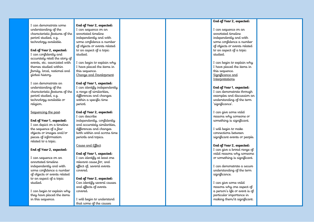I can demonstrate some understanding of the characteristic features of the period studied, e.g. technology available.

### **End of Year 2, expected:**

I can confidently and accurately retell the story of events, etc. associated with themes studied within family, local, national and global history.

I can demonstrate an understanding of the characteristic features of the period studied, e.g. technology available or religion.

### Sequencing the past

**End of Year 1, expected:** I can depict on a timeline the sequence of a few objects or images and/or pieces of information related to a topic.

### **End of Year 2, expected:**

I can sequence on an annotated timeline independently and with some confidence a number of objects or events related to an aspect of a topic studied.

I can begin to explain why they have placed the items in this sequence.

**End of Year 2, expected:** I can sequence on an annotated timeline independently and with some confidence a number of objects or events related to an aspect of a topic studied.

I can begin to explain why I have placed the items in this sequence. Change and Development

### **End of Year 1, expected:**

I can identify independently a range of similarities, differences and changes within a specific time period.

### **End of Year 2, expected:**

I can describe independently, confidently and accurately similarities, differences and changes both within and across time periods and topics.

### Cause and Effect

**End of Year 1, expected:**

I can identify at least one relevant cause for, and effect of, several events covered.

**End of Year 2, expected:** Can identify several causes and effects of events covered.

I will begin to understand that some of the causes

### **End of Year 2, expected :**

I can sequence on an annotated timeline independently and with some confidence a number of objects or events related to an aspect of a topic studied.

I can begin to explain why I have placed the items in this sequence. Significance and Interpretations

### **End of Year 1, expected:**

I can demonstrate through examples and discussion an understanding of the term 'significance'.

I can give some valid reasons why someone or something is significant.

I will begin to make connections between significant events or people.

### **End of Year 2, expected:**

I can give a broad range of valid reasons why someone or something is significant.

I can demonstrate a secure understanding of the term significance.

I can give some valid reasons why one aspect of a person's life or event is of particular importance in making them/it significant.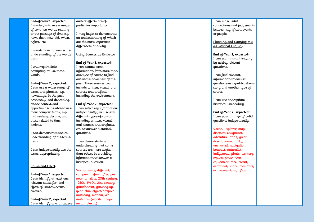### **End of Year 1, expected:**

I can begin to use a range of common words relating to the passage of time e.g. now, then, new old, when, before, etc.

I can demonstrate a secure understanding of the words used.

I will require little prompting to use these words.

**End of Year 2, expected:**

I can use a wider range of terms and phrases, e.g. nowadays, in the past, previously, and depending on the context and opportunities be able to use more complex terms, e.g. last century, decade, and those related to time periods.

I can demonstrate secure understanding of the terms used.

I can independently use the terms appropriately.

Cause and Effect

**End of Year 1, expected:** I can identify at least one relevant cause for, and effect of, several events covered.

**End of Year 2, expected:** I can identify several causes

### and/or effects are of particular importance.

I may begin to demonstrate an understanding of which are the most important differences and why.

Using Sources as Evidence

### **End of Year 1, expected:**

I can extract some information from more than one type of source to find out about an aspect of the past. These sources could include written, visual, oral sources and artefacts including the environment.

### **End of Year 2, expected:**

I can select key information independently from several different types of source including written, visual, oral sources and artefacts, etc. to answer historical questions.

I can demonstrate an understanding that some sources are more useful than others in providing information to answer a historical question.

Vocab: same, different, compare, before, after, past, now, timeline, 20th century, 1950s, 1960s, 21st century, grandparent, growing up, year, clue, object/artefact, matching, modern, old, materials (wooden, paper, metal, plastic)

I can make valid connections and judgements between significant events or people.

Planning and Carrying out a Historical Enquiry

**End of Year 1, expected:** I can plan a small enquiry by asking relevant questions.

I can find relevant information to answer questions using at least one story and another type of source.

I can use appropriate historical vocabulary.

**End of Year 2, expected:** I can pose a range of valid questions independently.

Vocab: Explorer, map, discover, equipment, adventure, trade, great, desert, caravan, Hajj, uncharted, navigation, botanist, naturalist, indigenous, pirate, territory, replica, polar, hero, equipment, race, recent, astronaut, space, memorial, achievement, significant.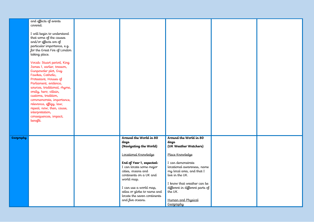|                  | and effects of events<br>covered.<br>I will begin to understand<br>that some of the causes<br>and/or effects are of<br>particular importance, e.g.<br>for the Great Fire of London<br>taking place.<br>Vocab: Stuart period, King<br>James 1, earlier, treason,<br>Gunpowder plot, Guy<br>Fawkes, Catholic,<br>Protestant, Houses of<br>Parliament, evidence,<br>sources, traditional, rhyme,<br>orally, hero, villain,<br>customs, tradition,<br>commemorate, importance,<br>relevance, effigy, law,<br>repeal, now, then, cause,<br>interpretation,<br>consequences, impact,<br>benefit. |                                                                                                                                                                                                                                                                                                                  |                                                                                                                                                                                                                                                                                              |  |
|------------------|--------------------------------------------------------------------------------------------------------------------------------------------------------------------------------------------------------------------------------------------------------------------------------------------------------------------------------------------------------------------------------------------------------------------------------------------------------------------------------------------------------------------------------------------------------------------------------------------|------------------------------------------------------------------------------------------------------------------------------------------------------------------------------------------------------------------------------------------------------------------------------------------------------------------|----------------------------------------------------------------------------------------------------------------------------------------------------------------------------------------------------------------------------------------------------------------------------------------------|--|
| <b>Geography</b> |                                                                                                                                                                                                                                                                                                                                                                                                                                                                                                                                                                                            | Around the World in 80<br>days<br>(Navigating the World)<br>Locational Knowledge<br>End of Year 1, expected:<br>I can locate some major<br>cities, oceans and<br>continents on a UK and<br>world map.<br>I can use a world map,<br>atlas or globe to name and<br>locate the seven continents<br>and five oceans. | Around the World in 80<br>days<br>(UK Weather Watchers)<br>Place Knowledge<br>I can demonstrate<br>locational awareness, name<br>my local area, and that I<br>live in the UK.<br>I know that weather can be<br>different in different parts of<br>the UK.<br>Human and Physical<br>Geography |  |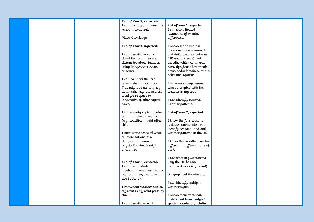|  | End of Year 2, expected:        |                                 |  |
|--|---------------------------------|---------------------------------|--|
|  | I can identify and name the     | End of Year 1, expected:        |  |
|  | relevant continents.            | I can show limited              |  |
|  |                                 |                                 |  |
|  |                                 | awareness of weather            |  |
|  | Place Knowledge                 | differences.                    |  |
|  |                                 |                                 |  |
|  | End of Year 1, expected:        | I can describe and ask          |  |
|  |                                 | questions about seasonal        |  |
|  | I can describe in some          | and daily weather patterns      |  |
|  | detail the local area and       | (UK and overseas) and           |  |
|  | distant locations' features     | describe which continents       |  |
|  | using images to support         | have significant hot or cold    |  |
|  | answers.                        | areas and relate these to the   |  |
|  |                                 | poles and equator.              |  |
|  | I can compare the local         |                                 |  |
|  | area to distant locations.      | I can make comparisons          |  |
|  | This might be naming key        | when prompted with the          |  |
|  | landmarks, e.g. the nearest     | weather in my area.             |  |
|  | local green space or            |                                 |  |
|  |                                 |                                 |  |
|  | landmarks of other capital      | I can identify seasonal         |  |
|  | cities.                         | weather patterns.               |  |
|  |                                 |                                 |  |
|  | I know that people do jobs      | End of Year 2, expected:        |  |
|  | and that where they live        |                                 |  |
|  | (e.g. coastline) might affect   | I know the four seasons         |  |
|  | this.                           | and the correct order and       |  |
|  |                                 | identify seasonal and daily     |  |
|  | I have some sense of what       | weather patterns in the UK.     |  |
|  | animals eat and the             |                                 |  |
|  | dangers (human or               | I know that weather can be      |  |
|  | physical) animals might         | different in different parts of |  |
|  | encounter.                      | the UK.                         |  |
|  |                                 |                                 |  |
|  |                                 | I can start to give reasons     |  |
|  | End of Year 2, expected:        | why the UK has the              |  |
|  | I can demonstrate               | weather it does (e.g. wind).    |  |
|  | locational awareness, name      |                                 |  |
|  | my local area, and where I      | Geographical Vocabulary         |  |
|  | live in the UK.                 |                                 |  |
|  |                                 |                                 |  |
|  |                                 | I can identify multiple         |  |
|  | I know that weather can be      | weather types.                  |  |
|  | different in different parts of |                                 |  |
|  | the UK.                         | I can demonstrate that I        |  |
|  |                                 | understand basic, subject-      |  |
|  | I can describe a local          | specific vocabulary relating    |  |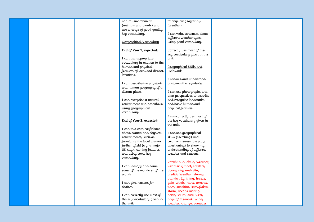|  | natural environment           | to physical geography                                    |  |
|--|-------------------------------|----------------------------------------------------------|--|
|  | (animals and plants) and      | (weather).                                               |  |
|  | use a range of good quality   |                                                          |  |
|  | key vocabulary.               | I can write sentences about                              |  |
|  |                               | different weather types                                  |  |
|  | Geographical Vocabulary       | using good vocabulary.                                   |  |
|  |                               |                                                          |  |
|  | End of Year 1, expected:      | Correctly use most of the                                |  |
|  |                               | key vocabulary given in the                              |  |
|  | I can use appropriate         | unit.                                                    |  |
|  | vocabulary in relation to the |                                                          |  |
|  | human and physical            | Geographical Skills and                                  |  |
|  | features of local and distant | Fieldwork                                                |  |
|  | locations.                    |                                                          |  |
|  |                               | I can use and understand                                 |  |
|  | I can describe the physical   | basic weather symbols.                                   |  |
|  | and human geography of a      |                                                          |  |
|  | distant place.                | I can use photographs and                                |  |
|  | I can recognise a natural     | plan perspectives to describe<br>and recognise landmarks |  |
|  | environment and describe it   | and basic human and                                      |  |
|  | using geographical            | physical features.                                       |  |
|  | vocabulary.                   |                                                          |  |
|  |                               | I can correctly use most of                              |  |
|  | End of Year 2, expected:      | the key vocabulary given in                              |  |
|  |                               | the unit.                                                |  |
|  | I can talk with confidence    |                                                          |  |
|  | about human and physical      | I can use geographical                                   |  |
|  | environments, such as         | skills (sketching) and                                   |  |
|  | farmland, the local area or   | creative means (role play,                               |  |
|  | further afield (e.g. a major  | questioning) to show my                                  |  |
|  | UK city), naming features     | understanding of different                               |  |
|  | and using some key            | weather and seasons.                                     |  |
|  | vocabulary.                   |                                                          |  |
|  |                               | Vocab: Sun, cloud, weather,                              |  |
|  | I can identify and name       | weather symbol, satellite,                               |  |
|  | some of the wonders (of the   | above, sky, umbrella,                                    |  |
|  | world).                       | predict, Weather, stormy,                                |  |
|  |                               | thunder, lightning, breeze,                              |  |
|  | I can give reasons for        | gale, winds, rains, torrents,                            |  |
|  | choices.                      | tides, sunshine, snowflakes,                             |  |
|  | I can correctly use most of   | storm, oceans roaring,<br>north, south, east, west,      |  |
|  | the key vocabulary given in   | days of the week, Wind,                                  |  |
|  | the unit.                     | weather, change, compass,                                |  |
|  |                               |                                                          |  |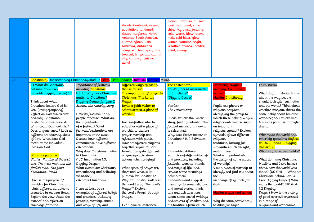|           |                                                                                                                                                                                                                                                                                                                                                                                                           |                                                                                                                                                                                                                                                                                                                                                                                                                 | Vocab: Continent, ocean,<br>population, landmark,<br>desert, rainforest, North<br>America, South America,<br>Europe, Africa, Asia,<br>Australia, Antarctica,<br>compass, climate, equator,<br>tropical, temperate, capital<br>city, currency, cuisine,<br>aerial                                                                                                                 | blown, north, south, east,<br>west, sun, wind, shiver,<br>shine, icy blast, freezing,<br>cold, warm, blow, thaw,<br>melt, cold blast, glow,<br>winter, summer, bright,<br>Weather, observe, predict,<br>wind, change                                                                                                                                                                        |                                                                                                                                                                                                                                                                                                                                                                           |                                                                                                                                                                                                                                                                                                                                                                             |
|-----------|-----------------------------------------------------------------------------------------------------------------------------------------------------------------------------------------------------------------------------------------------------------------------------------------------------------------------------------------------------------------------------------------------------------|-----------------------------------------------------------------------------------------------------------------------------------------------------------------------------------------------------------------------------------------------------------------------------------------------------------------------------------------------------------------------------------------------------------------|----------------------------------------------------------------------------------------------------------------------------------------------------------------------------------------------------------------------------------------------------------------------------------------------------------------------------------------------------------------------------------|---------------------------------------------------------------------------------------------------------------------------------------------------------------------------------------------------------------------------------------------------------------------------------------------------------------------------------------------------------------------------------------------|---------------------------------------------------------------------------------------------------------------------------------------------------------------------------------------------------------------------------------------------------------------------------------------------------------------------------------------------------------------------------|-----------------------------------------------------------------------------------------------------------------------------------------------------------------------------------------------------------------------------------------------------------------------------------------------------------------------------------------------------------------------------|
| <b>RE</b> |                                                                                                                                                                                                                                                                                                                                                                                                           |                                                                                                                                                                                                                                                                                                                                                                                                                 | Christianity Understanding Christianity module Islam Sikh/Hinduism Judaism Buddism Mixed                                                                                                                                                                                                                                                                                         |                                                                                                                                                                                                                                                                                                                                                                                             |                                                                                                                                                                                                                                                                                                                                                                           |                                                                                                                                                                                                                                                                                                                                                                             |
|           | 1.1 What do Christians<br>believe God is like?<br>(possible digging deeper) 1.1<br>Think about what<br>Christians believe God is<br>like. (loving/forgiving)<br>Reflect on God the creator<br>and why Christians<br>celebrate God at harvest.<br>What could God look like?<br>Does anyone know? Look at<br>different art showing ideas<br>of God. What does God<br>mean to me individual<br>ideas on God. | Importance of festivals<br>including <mark>Christmas</mark><br>UC 1.3 Why does Christmas<br>matter to Christians?<br>Digging Deeper for year 2<br>Stories: the Nativity story<br>How do festivals bring<br>people together? What are<br>the ingredients<br>of a festival? What<br>festivals/celebrations are<br>important to the class.<br>Discuss how different<br>communities have different<br>celebrations. | Different ways of giving<br>thanks to God<br>The importance of prayer to<br>Christians (The Lord's<br>Prayer)<br>Invite a faith visitor to<br>school or visit a place of<br>worship.<br>Invite a faith visitor to<br>school or visit a place of<br>worship to explore<br>prayer, worship and<br>reflection with pupils.<br>How do different religions<br>say 'thank you' to God? | The Easter Story<br>1.5 Why does Easter matter<br>to Christians?<br>(Digging Deeper)<br>Stories:<br>The Easter Story<br>Pupils explore the Easter<br>story, finding out what the<br>festival means and how it<br>is celebrated.<br>Why does Easter matter to<br>Christians? (UC Salvation<br>1.5)                                                                                           | Expressing religious<br>meaning. Comparison<br><b>between</b><br>Muslim/Christianity<br>Pupils use photos or<br>religious artefacts<br>identifying the group to<br>which these belong Why is<br>a light/water/a tree such<br>an important<br>religious symbol? Explore<br>symbols of two different<br>religious<br>traditions, looking for<br>similarities such as light, | Faith stories<br>What do faith stories tell us<br>about the way people<br>should look after each other<br>and the world? Think about<br>whether everyone shares the<br>same belief about how the<br>world began. Explore and<br>tell some parables through<br>drama.<br>Who made the world and<br>other big questions (Reflect<br>on UC 1.1 and UC digging<br>$deeper$ 1.2) |
|           | What are parables?<br>Stories: Parable of the lost,<br>son, The wise man and the<br>foolish man, The good<br>Samaritan, Jonah<br>Discuss the purpose of<br>parables for Christians and<br>relate different parables to<br>scenarios in modern times.<br>Explore the view 'Jesus the<br>teacher' and reflect on<br>teachings from the                                                                      | Why does Christmas matter<br>to Christians?<br>(*UC Incarnation 1.3,<br>Digging Deeper)<br>What events are Christians<br>remembering and believing<br>when they<br>celebrate Christmas?<br>I can at least three<br>examples of different beliefs<br>and practices, including<br>festivals, worship, rituals<br>and ways of life, and                                                                            | In what way do different<br>religious people share<br>actions when praying?<br>What types of prayer are<br>there and what is its<br>purpose for Christians?<br>Why do Christians all over<br>the world pray 'The Lord's<br>Prayer'? Explore<br>the Lord's Prayer through<br>images.<br>I can give at least three                                                                 | I can at least three<br>examples of different beliefs<br>and practices, including<br>festivals, worship, rituals<br>and ways of life, and<br>explain some meanings<br>behind them.<br>I can retell and suggest<br>meanings to some religious<br>and moral stories; think,<br>talk and ask questions<br>about some sacred writings<br>and sources of wisdom and<br>the traditions from which | water, trees.<br>What is important about<br>the design of some places<br>of worship?<br>Visit a place of worship to<br>identify and find out about<br>the<br>meanings of symbols for<br>God.<br>Muslim prayer and action.<br>Why do some people pray<br>to Allah for help?                                                                                                | What might heaven be like?<br>What do many Christians,<br>Muslims and Jews believe<br>about how the world was<br>made? (UC God 1.1 What do<br>Christians believe God is<br>like? Digging Deeper) Who<br>made the world? (UC God<br>1.2 Digging<br>Deeper) How is the victory<br>of good over evil expressed<br>in a range of<br>religions and worldviews?                   |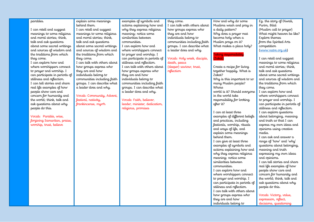### parables. explain some meanings behind them. examples of symbols and actions explaining how and they come. I can talk with others about

I can retell and suggest meanings to some religious and moral stories; think, talk and ask questions about some sacred writings and sources of wisdom and the traditions from which they come. I can explore how and where worshippers connect to prayer and worship. I can participate in periods of stillness and reflection. I can tell stories and share real life examples of how people show care and concern for humanity and the world; think, talk and ask questions about why people do this.

Vocab: Parable, wise, forgiving Samaritan, praise, worship, trust, believe

I can retell and suggest meanings to some religious and moral stories; think, talk and ask questions about some sacred writings and sources of wisdom and the traditions from which they come. I can talk with others about how groups express who theu are and how individuals belong to communities including faith groups. I can describe what a leader does and why.

Vocab: Community, Advent, festival, nativity, frankincense, myrrh

why they express religious meaning; notice some similarities between communities. I can explore how and where worshippers connect to prayer and worship. I can participate in periods of stillness and reflection. I can talk with others about how groups express who they are and how individuals belong to communities including faith groups. I can describe what a leader does and why.

Vocab: Faith, believer, leader, minister, dedication, religious, promises

how groups express who they are and how individuals belong to communities including faith groups. I can describe what a leader does and why.

Vocab: Holy week, disciple, death, peace (deeper) saviour, trust, reflection

How and why do some Muslims wash and pray in a daily pattern? Why does a prayer mat become holy when a Muslim prays on it? What makes a place holy?

# Taking responsibility (Zakat)

Create a recipe for living together happily. What is Zakat? Why is this important to so many Muslim people? Whose world is it? Should everyone in the world take responsibility for looking after it? I can at least three examples of different beliefs and practices, including festivals, worship, rituals and ways of life, and explain some meanings behind them. I can give at least three

examples of symbols and actions explaining how and why they express religious meaning; notice some similarities between communities.

I can explore how and where worshippers connect to prayer and worship. I can participate in periods of stillness and reflection. I can talk with others about how groups express who they are and how individuals belong to

Eg. the story of Diwali, Purim, Bilal (Muslim call to prayer) What might heaven be like? Explore themes from the Spirited Arts competition [\(www.natre.org.uk\)](http://www.natre.org.uk/)

I can retell and suggest meanings to some religious and moral stories; think, talk and ask questions about some sacred writings and sources of wisdom and the traditions from which they come. I can explore how and where worshippers connect

to prayer and worship. I can participate in periods of stillness and reflection. I can explore questions about belonging, meaning and truth so that I can express my own ideas and opinions using creative media.

I can ask and answer a range of 'how' and 'why' questions about belonging, meaning and truth expressing my own ideas and opinions. I can tell stories and share real life examples of how people show care and concern for humanity and the world; think, talk and ask questions about why

people do this. Vocab: Victory, value, expression, reflect, decisions, questioning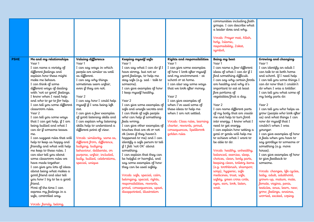|             |                                                                                                                                                                                                                                                                                                                                                                                                                                                                                                                                                                                                                                                                                                                                                                                                                                                                                                                                 |                                                                                                                                                                                                                                                                                                                                                                                                                                                                                                                                                                                                                           |                                                                                                                                                                                                                                                                                                                                                                                                                                                                                                                                                                                                                                                                                                                                                                                                                                                                 |                                                                                                                                                                                                                                                                                                                                                                                                                                     | communities including faith<br>groups. I can describe what<br>a leader does and why.<br>Vocab: Prayer mat, Allah,<br>holy, Islamic,<br>responsibility, Zakat,<br>symbol,                                                                                                                                                                                                                                                                                                                                                                                                                                                                                                                                                                                                                                     |                                                                                                                                                                                                                                                                                                                                                                                                                                                                                                                                                                                                                                                                                                                                                                                                                                         |
|-------------|---------------------------------------------------------------------------------------------------------------------------------------------------------------------------------------------------------------------------------------------------------------------------------------------------------------------------------------------------------------------------------------------------------------------------------------------------------------------------------------------------------------------------------------------------------------------------------------------------------------------------------------------------------------------------------------------------------------------------------------------------------------------------------------------------------------------------------------------------------------------------------------------------------------------------------|---------------------------------------------------------------------------------------------------------------------------------------------------------------------------------------------------------------------------------------------------------------------------------------------------------------------------------------------------------------------------------------------------------------------------------------------------------------------------------------------------------------------------------------------------------------------------------------------------------------------------|-----------------------------------------------------------------------------------------------------------------------------------------------------------------------------------------------------------------------------------------------------------------------------------------------------------------------------------------------------------------------------------------------------------------------------------------------------------------------------------------------------------------------------------------------------------------------------------------------------------------------------------------------------------------------------------------------------------------------------------------------------------------------------------------------------------------------------------------------------------------|-------------------------------------------------------------------------------------------------------------------------------------------------------------------------------------------------------------------------------------------------------------------------------------------------------------------------------------------------------------------------------------------------------------------------------------|--------------------------------------------------------------------------------------------------------------------------------------------------------------------------------------------------------------------------------------------------------------------------------------------------------------------------------------------------------------------------------------------------------------------------------------------------------------------------------------------------------------------------------------------------------------------------------------------------------------------------------------------------------------------------------------------------------------------------------------------------------------------------------------------------------------|-----------------------------------------------------------------------------------------------------------------------------------------------------------------------------------------------------------------------------------------------------------------------------------------------------------------------------------------------------------------------------------------------------------------------------------------------------------------------------------------------------------------------------------------------------------------------------------------------------------------------------------------------------------------------------------------------------------------------------------------------------------------------------------------------------------------------------------------|
| <b>PSHE</b> | Me and my relationships<br>Year 1<br>I can name a variety of<br>different feelings and<br>explain how these might<br>make me behave.<br>I can think of some<br>different ways of dealing<br>with 'not so good' feelings.<br>I know when I need help<br>and who to go to for help.<br>I can tell you some different<br>classroom rules.<br>Year 2<br>I can tell you some ways<br>that I can get help, $if$ I am<br>being bullied and what I<br>can do if someone teases<br>me.<br>I can suggest rules that will<br>help to keep us happy and<br>friendly and what will help<br>me keep to these rules. I<br>can also tell you about<br>some classroom rules we<br>have made together.<br>I can give you lots of ideas<br>about being what makes a<br>good friend and also tell<br>you how I try to be a good<br>friend.<br>Most of the time I can<br>express my feelings in a<br>safe, controlled way.<br>Vocab: family, belong, | Valuing difference<br>Year 1<br>I can say ways in which<br>people are similar as well<br>as different.<br>I can say why things<br>sometimes seem unfair,<br>even if they are not.<br>Year 2<br>I can say how I could help<br>myself if I was being left<br>out.<br>I can give a few examples<br>of good listening skills and<br>I can explain why listening<br>skills help to understand a<br>different point of view.<br>Vocab: similarity, same as,<br>different from, difference,<br>bullying, bullying<br>behaviour, deliberate, on<br>purpose, unfair, included,<br>bully, bullied, celebrations,<br>special, unique | Keeping myself safe<br>Year 1<br>I can say what I can do if I<br>have strong, but not so<br>good feelings, to help me<br>stay safe (e.g. sad - talk to<br>someone).<br>I can give examples of how<br>I keep myself healthy.<br>Year 2<br>I can give some examples of<br>safe and unsafe secrets and<br>I can think of safe people<br>who can help if something<br>feels wrong.<br>I can give other examples of<br>touches that are ok or not<br>ok (even if they haven't<br>happened to me) and I can<br>identify a safe person to tell<br>if I felt 'not OK' about<br>something.<br>I can explain that they can<br>be helpful or harmful, and<br>say some examples of how<br>they can be used safely.<br>Vocab: safe, special, calm,<br>belonging, special, rights,<br>responsibilities, rewards,<br>proud, consequences, upset,<br>disappointed, illustration | Rights and responsibilities<br>Year 1<br>I can give some examples<br>of how I look after myself<br>and my environment - at<br>school or at home.<br>I can also say some ways<br>that we look after money.<br>Year 2<br>I can give examples of<br>when I've used some of<br>these ideas to help me<br>when I am not settled.<br>Vocab: Class rules, learning<br>charter, rewards, proud,<br>consequences, Spellbrook<br>golden rules | Being my best<br>Year 1<br>I can name a few different<br>ideas of what I can do if I<br>find something difficult.<br>I can say why certain foods<br>are healthy and why it's<br>important to eat at least<br>five portions of<br>vegetables/fruit a day.<br>Year 2<br>I can name different parts<br>of my body that are inside<br>me and help to turn food<br>into energy. I know what I<br>need to get energy.<br>I can explain how setting a<br>goal or goals will help me<br>to achieve what I want to<br>be able to do.<br>Vocab: healthy, unhealthy,<br>balanced, exercise, sleep,<br>choices, clean, body parts,<br>keeping clean, toiletry items<br>(e.g. toothbrush, shampoo,<br>soap), hygienic, safe<br>medicines, trust, safe,<br>safety, green cross code,<br>eyes, ears, look, listen,<br>wait. | Growing and changing<br>Year 1<br>I can identify an adult I<br>can talk to at both home<br>and school. If I need help<br>I can tell you some things I<br>can do now that I couldn't<br>do when I was a toddler.<br>I can tell you what some of<br>my body parts do.<br>Year 2<br>I can tell you who helps us<br>grow (people who look after<br>us) and what things I can<br>now do myself that I<br>couldn't when I was<br>younger.<br>I can give examples of how<br>it feels when you have to<br>say goodbye to someone or<br>something (e.g. move<br>house).<br>I can give examples of how<br>to give feedback to<br>someone.<br>Vocab: changes, life cycles,<br>baby, adult, adulthood,<br>grown-up, mature, male,<br>female, vagina, penis,<br>testicles, anus, learn, new,<br>grow, feelings, anxious,<br>worried, excited, coping |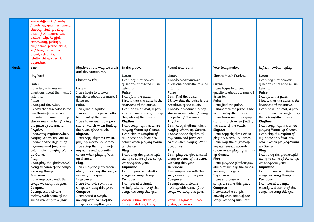| Year 1*<br>Rhythm in the way we walk<br>In the groove<br>Round and round<br>Your imagination<br>Reflect, rewind, replay<br>Music<br>and the banana rap<br>Hey You!<br>Listen<br>Rhodes Music Festival<br>Listen<br>Listen<br>Christmas Play<br>I can begin to answer<br>I can begin to answer<br>I can begin to answer<br>questions about the music I<br>questions about the music I<br>questions about the music I<br>Listen<br>Listen<br>listen to.<br>listen to.<br>I can begin to answer<br>listen to.<br>I can begin to answer<br>Listen<br>questions about the music I<br>questions about the music I<br>I can begin to answer<br>Pulse<br>Pulse<br>Pulse<br>questions about the music I<br>I can find the pulse.<br>I can find the pulse.<br>listen to.<br>I can find the pulse.<br>listen to.<br>I know that the pulse is the<br>I know that the pulse is the<br>Pulse<br>I know that the pulse is the<br>Pulse<br>listen to.<br>heartheat of the music.<br>heartheat of the music.<br>I can find the pulse.<br>heartheat of the music.<br>I can find the pulse.<br>Pulse<br>I know that the pulse is the<br>I can find the pulse.<br>I can be an animal, a pop<br>I know that the pulse is the<br>I can be an animal, a pop<br>I can be an animal, a pop<br>heartheat of the music.<br>star or march when finding<br>heartheat of the music.<br>I know that the pulse is the<br>star or march when finding<br>star or march when finding<br>heartheat of the music.<br>the pulse of the music.<br>the pulse of the music.<br>I can be an animal, a pop<br>the pulse of the music.<br>I can be an animal, a pop<br>star or march when finding<br>I can be an animal, a pop<br>Rhythm<br>Rhythm<br>star or march when finding<br>Rhythm<br>the pulse of the music.<br>star or march when finding<br>I can copy rhythms when<br>I can copy rhythms when<br>the pulse of the music.<br>I can copy rhythms when<br>the pulse of the music.<br>playing Warm-up Games.<br>playing Warm-up Games.<br>Rhythm<br>playing Warm-up Games.<br>Rhythm<br>I can copy rhythms when<br>Rhythm<br>I can clap the rhythm of<br>I can clap the rhythm of<br>I can copy rhythms when<br>I can clap the rhythm of<br>I can copy rhythms when<br>my name and favourite<br>my name and favourite<br>playing Warm-up Games.<br>my name and favourite<br>playing Warm-up Games.<br>colour when playing Warm-<br>colour when playing Warm-<br>I can clap the rhythm of<br>colour when playing Warm-<br>I can clap the rhythm of<br>playing Warm-up Games.<br>my name and favourite<br>I can clap the rhythm of<br>my name and favourite<br>up Games.<br>up Games.<br>up Games.<br>colour when playing Warm-<br>colour when playing Warm-<br>my name and favourite<br>Play<br>Play<br>Play<br>colour when playing Warm-<br>I can play the glockenspiel<br>I can play the glockenspiel<br>I can play the glockenspiel<br>up Games.<br>up Games.<br>along to some of the songs<br>along to some of the songs<br>Play<br>along to some of the songs<br>Plau<br>up Games.<br>we sang this year.<br>we sang this year.<br>I can play the glockenspiel<br>I can play the glockenspiel<br>Play<br>we sang this year.<br>I can play the glockenspiel<br>along to some of the songs<br>Improvise<br>Improvise<br>along to some of the songs<br>Improvise<br>along to some of the songs<br>I can improvise with the<br>I can improvise with the<br>we sang this year.<br>I can improvise with the<br>we sang this year.<br>we sang this year.<br>songs we sang this year.<br>songs we sang this year.<br>Improvise<br>songs we sang this year.<br>Improvise<br>I can improvise with the<br>I can improvise with the<br>Improvise<br>Compose<br>Compose<br>Compose<br>songs we sang this year.<br>I can improvise with the<br>I composed a simple<br>I composed a simple<br>songs we sang this year.<br>I composed a simple<br>melody with some of the<br>melody with some of the<br>melody with some of the<br>songs we sang this year.<br>Compose<br>Compose<br>I composed a simple<br>Compose<br>songs we sang this year.<br>songs we sang this year.<br>I composed a simple<br>songs we sang this year.<br>melody with some of the<br>melody with some of the<br>I composed a simple | same, different, friends,<br>friendship, qualities, caring,<br>sharing, kind, greeting,<br>touch, feel, texture, like,<br>dislike, help, helpful,<br>community, feelings,<br>confidence, praise, skills,<br>self-belief, incredible,<br>proud, celebrate,<br>relationships, special,<br>appreciate |                         |                        |                        |                          |  |
|------------------------------------------------------------------------------------------------------------------------------------------------------------------------------------------------------------------------------------------------------------------------------------------------------------------------------------------------------------------------------------------------------------------------------------------------------------------------------------------------------------------------------------------------------------------------------------------------------------------------------------------------------------------------------------------------------------------------------------------------------------------------------------------------------------------------------------------------------------------------------------------------------------------------------------------------------------------------------------------------------------------------------------------------------------------------------------------------------------------------------------------------------------------------------------------------------------------------------------------------------------------------------------------------------------------------------------------------------------------------------------------------------------------------------------------------------------------------------------------------------------------------------------------------------------------------------------------------------------------------------------------------------------------------------------------------------------------------------------------------------------------------------------------------------------------------------------------------------------------------------------------------------------------------------------------------------------------------------------------------------------------------------------------------------------------------------------------------------------------------------------------------------------------------------------------------------------------------------------------------------------------------------------------------------------------------------------------------------------------------------------------------------------------------------------------------------------------------------------------------------------------------------------------------------------------------------------------------------------------------------------------------------------------------------------------------------------------------------------------------------------------------------------------------------------------------------------------------------------------------------------------------------------------------------------------------------------------------------------------------------------------------------------------------------------------------------------------------------------------------------------------------------------------------------------------------------------------------------------------------------------------------------------------------------------------------------------------------------------------------------------------------------------------------------------------------------------------------------------------------------------------------------------------------------------------------------------------------------------------------------------------------------------------------------------------------------------------------------------------------------------------------------------------------------------------------------------------------------------------------------------------------------------------------------------------------------------------------------------------------------------------------------------------------------------------------------------------------------------------------------------------------------------------------------------------------------------------------------------------------------------|----------------------------------------------------------------------------------------------------------------------------------------------------------------------------------------------------------------------------------------------------------------------------------------------------|-------------------------|------------------------|------------------------|--------------------------|--|
|                                                                                                                                                                                                                                                                                                                                                                                                                                                                                                                                                                                                                                                                                                                                                                                                                                                                                                                                                                                                                                                                                                                                                                                                                                                                                                                                                                                                                                                                                                                                                                                                                                                                                                                                                                                                                                                                                                                                                                                                                                                                                                                                                                                                                                                                                                                                                                                                                                                                                                                                                                                                                                                                                                                                                                                                                                                                                                                                                                                                                                                                                                                                                                                                                                                                                                                                                                                                                                                                                                                                                                                                                                                                                                                                                                                                                                                                                                                                                                                                                                                                                                                                                                                                                                                            |                                                                                                                                                                                                                                                                                                    |                         |                        |                        |                          |  |
|                                                                                                                                                                                                                                                                                                                                                                                                                                                                                                                                                                                                                                                                                                                                                                                                                                                                                                                                                                                                                                                                                                                                                                                                                                                                                                                                                                                                                                                                                                                                                                                                                                                                                                                                                                                                                                                                                                                                                                                                                                                                                                                                                                                                                                                                                                                                                                                                                                                                                                                                                                                                                                                                                                                                                                                                                                                                                                                                                                                                                                                                                                                                                                                                                                                                                                                                                                                                                                                                                                                                                                                                                                                                                                                                                                                                                                                                                                                                                                                                                                                                                                                                                                                                                                                            | songs we sang this year.                                                                                                                                                                                                                                                                           | melody with some of the | Vocab: Blues, Baroque, | Vocab: Keyboard, bass, | songs we sang this year. |  |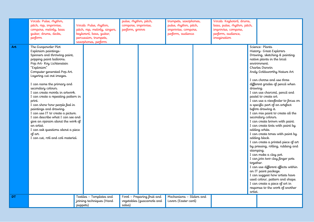|           | Vocab: Pulse, rhythm,<br>pitch, rap, improvise,<br>compose, melody, bass<br>guitar, drums, decks,<br>perform                                                                                                                                                                                                                                                                                                                                                                                                                                                                                                                     | Vocab: Pulse, rhythm,<br>pitch, rap, melody, singers,<br>keyboard, bass, guitar,<br>percussion, trumpets,<br>saxophones, perform | pulse, rhythm, pitch,<br>compose, improvise,<br>perform, groove |                                                         | trumpets, saxophones,<br>pulse, rhythm, pitch,<br>improvise, compose,<br>perform, audience | Vocab: Keyboard, drums,<br>bass, pulse, rhythm, pitch,<br>improvise, compose,<br>perform, audience,<br>imagination |                                  |                                                                                                                                                                                                                                                                                                                                                                                                                                                                                                                                                                                                                                                                                                                                                                                                                                                                                                                                                                           |
|-----------|----------------------------------------------------------------------------------------------------------------------------------------------------------------------------------------------------------------------------------------------------------------------------------------------------------------------------------------------------------------------------------------------------------------------------------------------------------------------------------------------------------------------------------------------------------------------------------------------------------------------------------|----------------------------------------------------------------------------------------------------------------------------------|-----------------------------------------------------------------|---------------------------------------------------------|--------------------------------------------------------------------------------------------|--------------------------------------------------------------------------------------------------------------------|----------------------------------|---------------------------------------------------------------------------------------------------------------------------------------------------------------------------------------------------------------------------------------------------------------------------------------------------------------------------------------------------------------------------------------------------------------------------------------------------------------------------------------------------------------------------------------------------------------------------------------------------------------------------------------------------------------------------------------------------------------------------------------------------------------------------------------------------------------------------------------------------------------------------------------------------------------------------------------------------------------------------|
| Art       | The Gunpowder Plot<br>Explosion paintings-<br>Spinners and throwing paint,<br>popping paint balloons.<br>Pop Art-Roy Lichtenstein<br>"Explosion"<br>Computer generated Pop Art.<br>Layering cut out images.<br>I can name the primary and<br>secondary colours.<br>I can create moods in artwork.<br>I can create a repeating pattern in<br>print.<br>I can show how people feel in<br>paintings and drawing.<br>I can use IT to create a picture.<br>I can describe what I can see and<br>give an opinion about the work of<br>an artist.<br>I can ask questions about a piece<br>of art.<br>I can cut, roll and coil material. |                                                                                                                                  |                                                                 |                                                         |                                                                                            |                                                                                                                    | drawing.<br>together.<br>artist. | Science-Plants<br>History- Great Explorers<br>Drawing, sketching & painting<br>native plants in the local<br>environment.<br>Charles Darwin<br>Andy Goldsworthy Nature Art<br>I can choose and use three<br>different grades of pencil when<br>I can use charcoal, pencil and<br>pastel to create art.<br>I can use a viewfinder to focus on<br>a specific part of an artefact<br>before drawing it.<br>I can mix paint to create all the<br>secondary colours.<br>I can create brown with paint.<br>I can create tints with paint by<br>adding white.<br>I can create tones with paint by<br>adding black.<br>I can create a printed piece of art<br>by pressing, rolling, rubbing and<br>stamping.<br>I can make a clay pot.<br>I can join two clay finger pots<br>I can use different effects within<br>an IT paint package.<br>I can suggest how artists have<br>used colour, pattern and shape.<br>I can create a piece of art in<br>response to the work of another |
| <b>DT</b> |                                                                                                                                                                                                                                                                                                                                                                                                                                                                                                                                                                                                                                  | Textiles - Templates and<br>joining techniques (Hand<br>puppets)                                                                 | salsa)                                                          | Food - Preparing fruit and<br>vegetables (guacamole and | Mechanisms - Sliders and<br>Levers (Easter card)                                           |                                                                                                                    |                                  |                                                                                                                                                                                                                                                                                                                                                                                                                                                                                                                                                                                                                                                                                                                                                                                                                                                                                                                                                                           |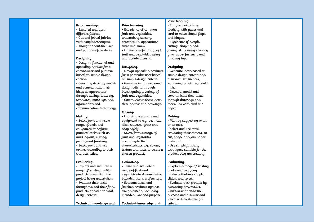### **Prior learning**

- Explored and used different fabrics.
- Cut and joined fabrics
- with simple techniques.
- Thought about the user
- and purpose of products.

### **Designing**

- Design a functional and appealing product for a chosen user and purpose based on simple design criteria.
- Generate, develop, model and communicate their ideas as appropriate through talking, drawing, templates, mock-ups and information and communication technology.

### **Making**

• Select from and use a range of tools and equipment to perform practical tasks such as marking out, cutting, joining and finishing. • Select from and use textiles according to their characteristics.

### **Evaluating**

• Explore and evaluate a range of existing textile products relevant to the project being undertaken. • Evaluate their ideas throughout and their final products against original design criteria.

### **Technical knowledge and**

### **Prior learning**

- Experience of common fruit and vegetables, undertaking sensory activities i.e. appearance taste and smell. • Experience of cutting soft
- fruit and vegetables using appropriate utensils.

### **Designing**

- Design appealing products for a particular user based on simple design criteria. • Generate initial ideas and design criteria through investigating a variety of fruit and vegetables. • Communicate these ideas
- through talk and drawings.

### **Making**

- Use simple utensils and equipment to e.g. peel, cut, slice, squeeze, grate and chop safely. • Select from a range of fruit and vegetables
- according to their characteristics e.g. colour, texture and taste to create a chosen product.

### **Evaluating**

• Taste and evaluate a range of fruit and vegetables to determine the intended user's preferences. • Evaluate ideas and finished products against design criteria, including intended user and purpose.

### **Technical knowledge and**

### **Prior learning**

- Early experiences of working with paper and card to make simple flaps and hinges.
- Experience of simple cutting, shaping and joining skills using scissors, glue, paper fasteners and masking tape.

### **Designing**

- Generate ideas based on simple design criteria and their own experiences, explaining what they could make.
- Develop, model and communicate their ideas through drawings and mock-ups with card and paper.

### **Making**

- Plan by suggesting what to do next.
- Select and use tools, explaining their choices, to cut, shape and join paper and card.
- Use simple finishing techniques suitable for the product they are creating.

### **Evaluating**

criteria.

• Explore a range of existing books and everyday products that use simple sliders and levers. • Evaluate their product by discussing how well it works in relation to the purpose and the user and

whether it meets design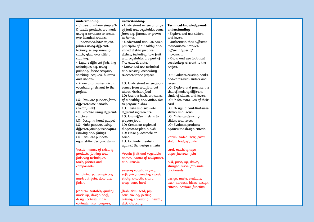|  | understanding                 | understanding                |                              |
|--|-------------------------------|------------------------------|------------------------------|
|  | · Understand how simple 3-    | · Understand where a range   | Technical knowledge and      |
|  | D textile products are made,  | of fruit and vegetables come | understanding                |
|  | using a template to create    | from e.g. farmed or grown    | · Explore and use sliders    |
|  | two identical shapes.         | at home.                     | and levers.                  |
|  | · Understand how to join      | • Understand and use basic   | • Understand that different  |
|  | fabrics using different       | principles of a healthy and  | mechanisms produce           |
|  | techniques e.g. running       | varied diet to prepare       | different types of           |
|  | stitch, glue, over stitch,    | dishes, including how fruit  | movement.                    |
|  | stapling.                     | and vegetables are part of   | • Know and use technical     |
|  | · Explore different finishing | The eatwell plate.           | vocabulary relevant to the   |
|  | techniques e.g. using         | · Know and use technical     | project.                     |
|  | painting, fabric crayons,     | and sensory vocabulary       |                              |
|  | stitching, sequins, buttons   | relevant to the project.     | LO: Evaluate existing books  |
|  |                               |                              | and cards with sliders and   |
|  | and ribbons.                  |                              |                              |
|  | • Know and use technical      | LO: Understand where food    | levers                       |
|  | vocabulary relevant to the    | comes from and find out      | LO: Explore and practise the |
|  | project.                      | about Mexican food           | skill of making different    |
|  |                               | LO: Use the basic principles | kinds of sliders and levers. |
|  | LO: Evaluate puppets from     | of a healthy and varied diet | LO: Make mock-ups of their   |
|  | different time periods        | to prepare dishes            | card                         |
|  | (history link)                | LO: Taste and evaluate       | LO: Design a card that uses  |
|  | LO: Practise using different  | different ingredients        | sliders and levers           |
|  | stitches                      | LO: Use different skills to  | LO: Make cards using         |
|  | LO: Design a hand puppet      | prepare food                 | sliders and levers           |
|  | LO: Make puppets using        | LO: Create an exploded       | LO: Evaluate products        |
|  | different joining techniques  | diagram to plan a dish       | against the design criteria  |
|  | (sewing and gluing)           | LO: Make guacamole or        |                              |
|  | LO: Evaluate puppets          | salsa                        | Vocab: slider, lever, pivot, |
|  | against the design criteria   | LO: Evaluate the dish        | slot, bridge/guide           |
|  |                               | against the design criteria  |                              |
|  | Vocab: names of existing      |                              | card, masking tape,          |
|  | products, joining and         | Vocab: fruit and vegetable   | paper fastener, join         |
|  | finishing techniques,         | names, names of equipment    |                              |
|  | tools, fabrics and            | and utensils                 | pull, push, up, down,        |
|  | components                    |                              | straight, curve, forwards,   |
|  |                               | sensory vocabulary e.g.      | backwards                    |
|  | template, pattern pieces,     | soft, juicy, crunchy, sweet, |                              |
|  | mark out, join, decorate,     | sticky, smooth, sharp,       | design, make, evaluate,      |
|  | linish                        | crisp, sour, hard            | user, purpose, ideas, design |
|  |                               |                              | criteria, product, function  |
|  | features, suitable, quality   | flesh, skin, seed, pip,      |                              |
|  | mock-up, design brief,        |                              |                              |
|  |                               | core, slicing, peeling,      |                              |
|  | design criteria, make,        | cutting, squeezing, healthy  |                              |
|  | evaluate, user, purpose,      | diet, choosing,              |                              |